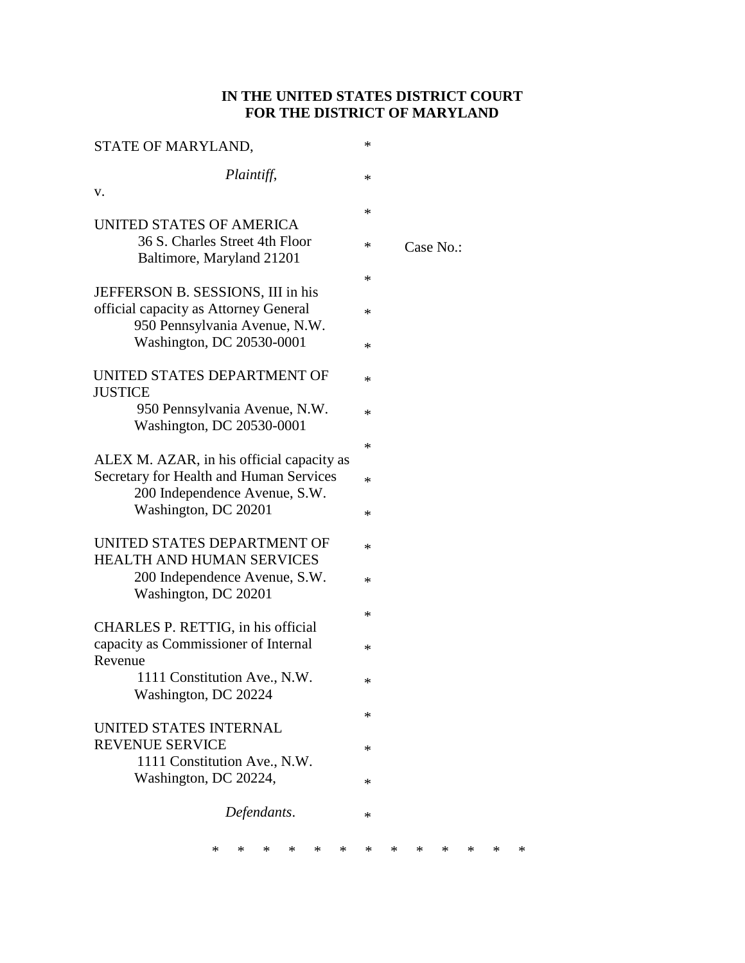# **IN THE UNITED STATES DISTRICT COURT FOR THE DISTRICT OF MARYLAND**

| STATE OF MARYLAND,                                          | * |   |   |           |   |   |   |
|-------------------------------------------------------------|---|---|---|-----------|---|---|---|
| Plaintiff,                                                  | * |   |   |           |   |   |   |
| V.                                                          |   |   |   |           |   |   |   |
| UNITED STATES OF AMERICA                                    | * |   |   |           |   |   |   |
| 36 S. Charles Street 4th Floor<br>Baltimore, Maryland 21201 | * |   |   | Case No.: |   |   |   |
|                                                             | * |   |   |           |   |   |   |
| JEFFERSON B. SESSIONS, III in his                           |   |   |   |           |   |   |   |
| official capacity as Attorney General                       | * |   |   |           |   |   |   |
| 950 Pennsylvania Avenue, N.W.<br>Washington, DC 20530-0001  |   |   |   |           |   |   |   |
|                                                             | * |   |   |           |   |   |   |
| UNITED STATES DEPARTMENT OF<br><b>JUSTICE</b>               | * |   |   |           |   |   |   |
| 950 Pennsylvania Avenue, N.W.                               | * |   |   |           |   |   |   |
| Washington, DC 20530-0001                                   |   |   |   |           |   |   |   |
|                                                             | * |   |   |           |   |   |   |
| ALEX M. AZAR, in his official capacity as                   |   |   |   |           |   |   |   |
| Secretary for Health and Human Services                     | ∗ |   |   |           |   |   |   |
| 200 Independence Avenue, S.W.                               |   |   |   |           |   |   |   |
| Washington, DC 20201                                        | * |   |   |           |   |   |   |
| UNITED STATES DEPARTMENT OF                                 | * |   |   |           |   |   |   |
| <b>HEALTH AND HUMAN SERVICES</b>                            |   |   |   |           |   |   |   |
| 200 Independence Avenue, S.W.                               | * |   |   |           |   |   |   |
| Washington, DC 20201                                        |   |   |   |           |   |   |   |
|                                                             | * |   |   |           |   |   |   |
| CHARLES P. RETTIG, in his official                          |   |   |   |           |   |   |   |
| capacity as Commissioner of Internal<br>Revenue             | * |   |   |           |   |   |   |
| 1111 Constitution Ave., N.W.                                |   |   |   |           |   |   |   |
| Washington, DC 20224                                        | ∗ |   |   |           |   |   |   |
|                                                             | * |   |   |           |   |   |   |
| UNITED STATES INTERNAL                                      |   |   |   |           |   |   |   |
| <b>REVENUE SERVICE</b>                                      | * |   |   |           |   |   |   |
| 1111 Constitution Ave., N.W.                                |   |   |   |           |   |   |   |
| Washington, DC 20224,                                       | * |   |   |           |   |   |   |
| Defendants.                                                 | * |   |   |           |   |   |   |
|                                                             |   |   |   |           |   |   |   |
| ∗<br>∗<br>*<br>*<br>*<br>*                                  | ∗ | * | * | ∗         | ∗ | * | ∗ |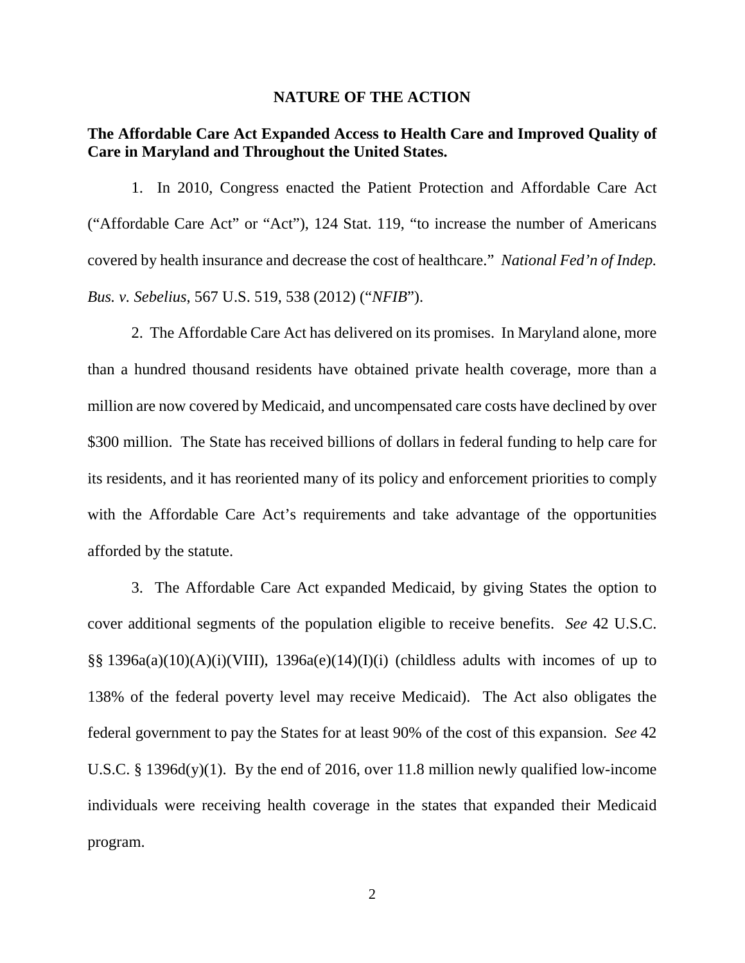#### **NATURE OF THE ACTION**

## **The Affordable Care Act Expanded Access to Health Care and Improved Quality of Care in Maryland and Throughout the United States.**

1. In 2010, Congress enacted the Patient Protection and Affordable Care Act ("Affordable Care Act" or "Act"), 124 Stat. 119, "to increase the number of Americans covered by health insurance and decrease the cost of healthcare." *National Fed'n of Indep. Bus. v. Sebelius*, 567 U.S. 519, 538 (2012) ("*NFIB*").

2. The Affordable Care Act has delivered on its promises. In Maryland alone, more than a hundred thousand residents have obtained private health coverage, more than a million are now covered by Medicaid, and uncompensated care costs have declined by over \$300 million. The State has received billions of dollars in federal funding to help care for its residents, and it has reoriented many of its policy and enforcement priorities to comply with the Affordable Care Act's requirements and take advantage of the opportunities afforded by the statute.

3. The Affordable Care Act expanded Medicaid, by giving States the option to cover additional segments of the population eligible to receive benefits. *See* 42 U.S.C.  $\S$ § 1396a(a)(10)(A)(i)(VIII), 1396a(e)(14)(I)(i) (childless adults with incomes of up to 138% of the federal poverty level may receive Medicaid). The Act also obligates the federal government to pay the States for at least 90% of the cost of this expansion. *See* 42 U.S.C. § 1396d(y)(1). By the end of 2016, over 11.8 million newly qualified low-income individuals were receiving health coverage in the states that expanded their Medicaid program.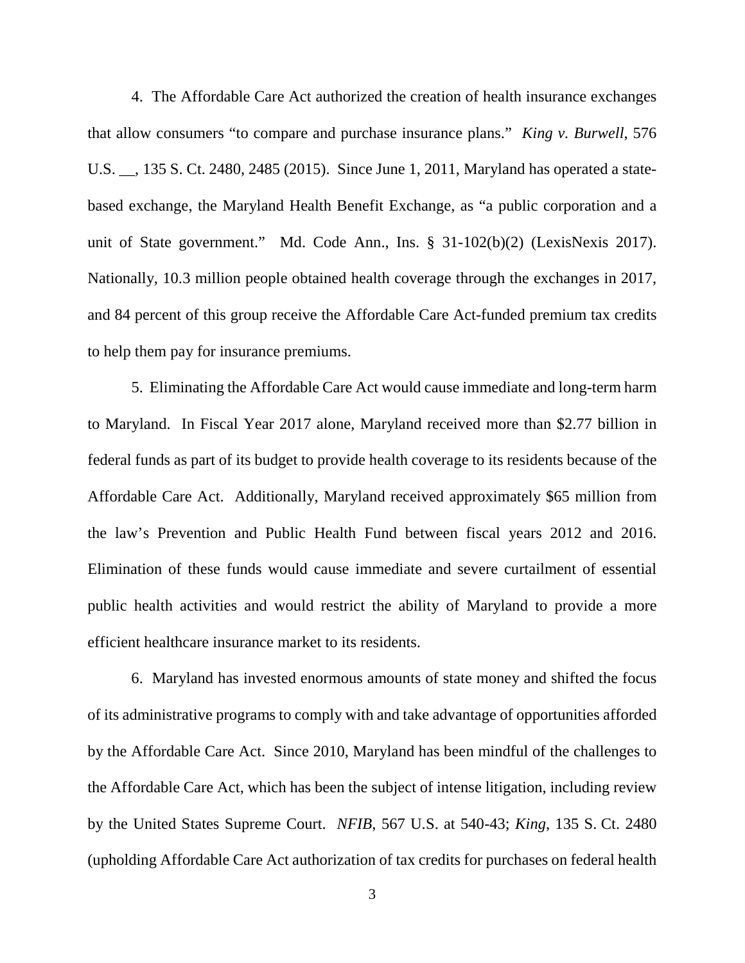4. The Affordable Care Act authorized the creation of health insurance exchanges that allow consumers "to compare and purchase insurance plans." *King v. Burwell*, 576 U.S. \_\_, 135 S. Ct. 2480, 2485 (2015). Since June 1, 2011, Maryland has operated a statebased exchange, the Maryland Health Benefit Exchange, as "a public corporation and a unit of State government." Md. Code Ann., Ins. § 31-102(b)(2) (LexisNexis 2017). Nationally, 10.3 million people obtained health coverage through the exchanges in 2017, and 84 percent of this group receive the Affordable Care Act-funded premium tax credits to help them pay for insurance premiums.

5. Eliminating the Affordable Care Act would cause immediate and long-term harm to Maryland. In Fiscal Year 2017 alone, Maryland received more than \$2.77 billion in federal funds as part of its budget to provide health coverage to its residents because of the Affordable Care Act. Additionally, Maryland received approximately \$65 million from the law's Prevention and Public Health Fund between fiscal years 2012 and 2016. Elimination of these funds would cause immediate and severe curtailment of essential public health activities and would restrict the ability of Maryland to provide a more efficient healthcare insurance market to its residents.

6. Maryland has invested enormous amounts of state money and shifted the focus of its administrative programs to comply with and take advantage of opportunities afforded by the Affordable Care Act. Since 2010, Maryland has been mindful of the challenges to the Affordable Care Act, which has been the subject of intense litigation, including review by the United States Supreme Court. *NFIB*, 567 U.S. at 540-43; *King*, 135 S. Ct. 2480 (upholding Affordable Care Act authorization of tax credits for purchases on federal health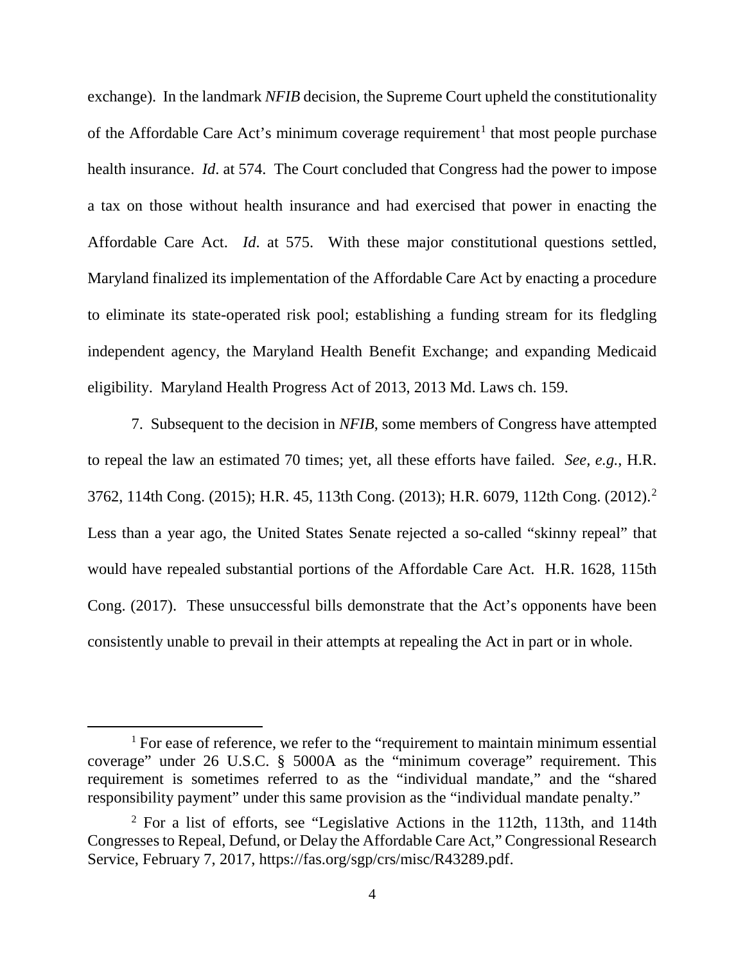exchange). In the landmark *NFIB* decision, the Supreme Court upheld the constitutionality of the Affordable Care Act's minimum coverage requirement<sup>[1](#page-3-0)</sup> that most people purchase health insurance. *Id*. at 574. The Court concluded that Congress had the power to impose a tax on those without health insurance and had exercised that power in enacting the Affordable Care Act. *Id*. at 575. With these major constitutional questions settled, Maryland finalized its implementation of the Affordable Care Act by enacting a procedure to eliminate its state-operated risk pool; establishing a funding stream for its fledgling independent agency, the Maryland Health Benefit Exchange; and expanding Medicaid eligibility. Maryland Health Progress Act of 2013, 2013 Md. Laws ch. 159.

7. Subsequent to the decision in *NFIB*, some members of Congress have attempted to repeal the law an estimated 70 times; yet, all these efforts have failed. *See, e.g.*, H.R. 3762, 114th Cong. (2015); H.R. 45, 113th Cong. (2013); H.R. 6079, 112th Cong. (2012).[2](#page-3-1) Less than a year ago, the United States Senate rejected a so-called "skinny repeal" that would have repealed substantial portions of the Affordable Care Act. H.R. 1628, 115th Cong. (2017). These unsuccessful bills demonstrate that the Act's opponents have been consistently unable to prevail in their attempts at repealing the Act in part or in whole.

<span id="page-3-0"></span> $1$  For ease of reference, we refer to the "requirement to maintain minimum essential coverage" under 26 U.S.C. § 5000A as the "minimum coverage" requirement. This requirement is sometimes referred to as the "individual mandate," and the "shared responsibility payment" under this same provision as the "individual mandate penalty."

<span id="page-3-1"></span><sup>2</sup> For a list of efforts, see "Legislative Actions in the 112th, 113th, and 114th Congresses to Repeal, Defund, or Delay the Affordable Care Act," Congressional Research Service, February 7, 2017, https://fas.org/sgp/crs/misc/R43289.pdf.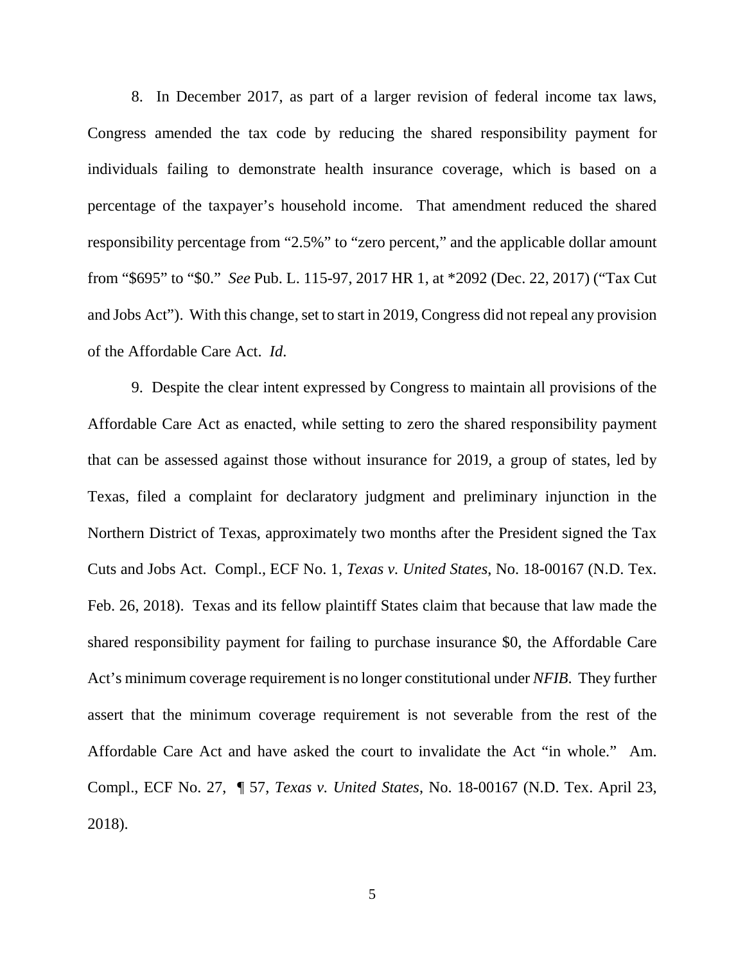8. In December 2017, as part of a larger revision of federal income tax laws, Congress amended the tax code by reducing the shared responsibility payment for individuals failing to demonstrate health insurance coverage, which is based on a percentage of the taxpayer's household income. That amendment reduced the shared responsibility percentage from "2.5%" to "zero percent," and the applicable dollar amount from "\$695" to "\$0." *See* Pub. L. 115-97, 2017 HR 1, at \*2092 (Dec. 22, 2017) ("Tax Cut and Jobs Act"). With this change, set to start in 2019, Congress did not repeal any provision of the Affordable Care Act. *Id*.

9. Despite the clear intent expressed by Congress to maintain all provisions of the Affordable Care Act as enacted, while setting to zero the shared responsibility payment that can be assessed against those without insurance for 2019, a group of states, led by Texas, filed a complaint for declaratory judgment and preliminary injunction in the Northern District of Texas, approximately two months after the President signed the Tax Cuts and Jobs Act. Compl., ECF No. 1, *Texas v. United States*, No. 18-00167 (N.D. Tex. Feb. 26, 2018). Texas and its fellow plaintiff States claim that because that law made the shared responsibility payment for failing to purchase insurance \$0, the Affordable Care Act's minimum coverage requirement is no longer constitutional under *NFIB*. They further assert that the minimum coverage requirement is not severable from the rest of the Affordable Care Act and have asked the court to invalidate the Act "in whole." Am. Compl., ECF No. 27, ¶ 57, *Texas v. United States*, No. 18-00167 (N.D. Tex. April 23, 2018).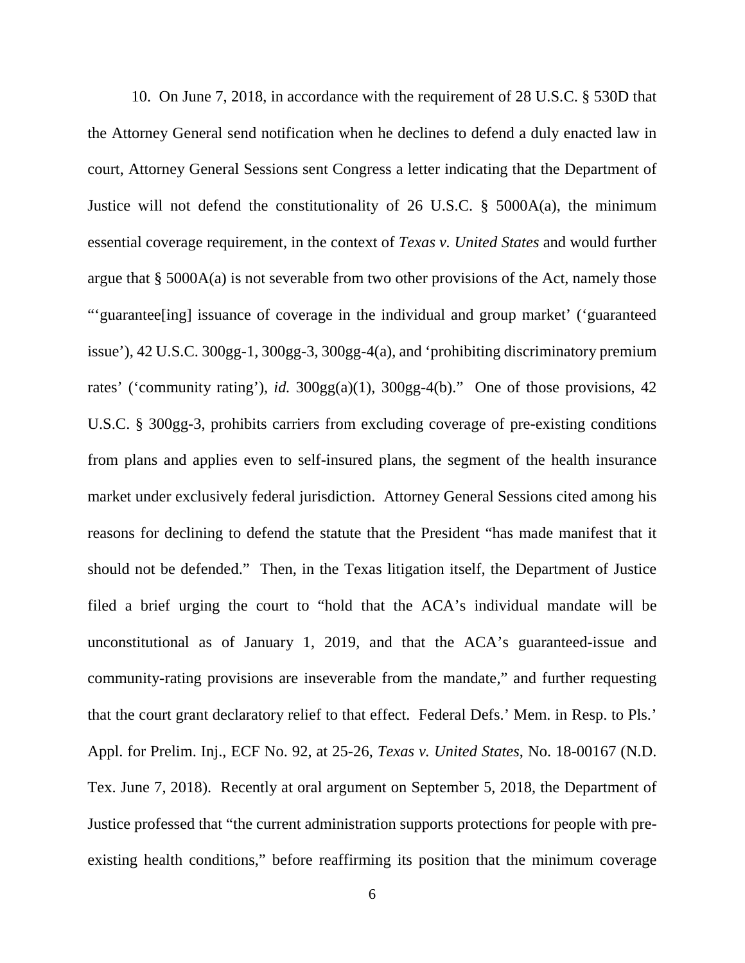10. On June 7, 2018, in accordance with the requirement of 28 U.S.C. § 530D that the Attorney General send notification when he declines to defend a duly enacted law in court, Attorney General Sessions sent Congress a letter indicating that the Department of Justice will not defend the constitutionality of 26 U.S.C. § 5000A(a), the minimum essential coverage requirement, in the context of *Texas v. United States* and would further argue that  $\S$  5000A(a) is not severable from two other provisions of the Act, namely those "'guarantee[ing] issuance of coverage in the individual and group market' ('guaranteed issue'), 42 U.S.C. 300gg-1, 300gg-3, 300gg-4(a), and 'prohibiting discriminatory premium rates' ('community rating'), *id.* 300gg(a)(1), 300gg-4(b)." One of those provisions, 42 U.S.C. § 300gg-3, prohibits carriers from excluding coverage of pre-existing conditions from plans and applies even to self-insured plans, the segment of the health insurance market under exclusively federal jurisdiction. Attorney General Sessions cited among his reasons for declining to defend the statute that the President "has made manifest that it should not be defended." Then, in the Texas litigation itself, the Department of Justice filed a brief urging the court to "hold that the ACA's individual mandate will be unconstitutional as of January 1, 2019, and that the ACA's guaranteed-issue and community-rating provisions are inseverable from the mandate," and further requesting that the court grant declaratory relief to that effect. Federal Defs.' Mem. in Resp. to Pls.' Appl. for Prelim. Inj., ECF No. 92, at 25-26, *Texas v. United States*, No. 18-00167 (N.D. Tex. June 7, 2018). Recently at oral argument on September 5, 2018, the Department of Justice professed that "the current administration supports protections for people with preexisting health conditions," before reaffirming its position that the minimum coverage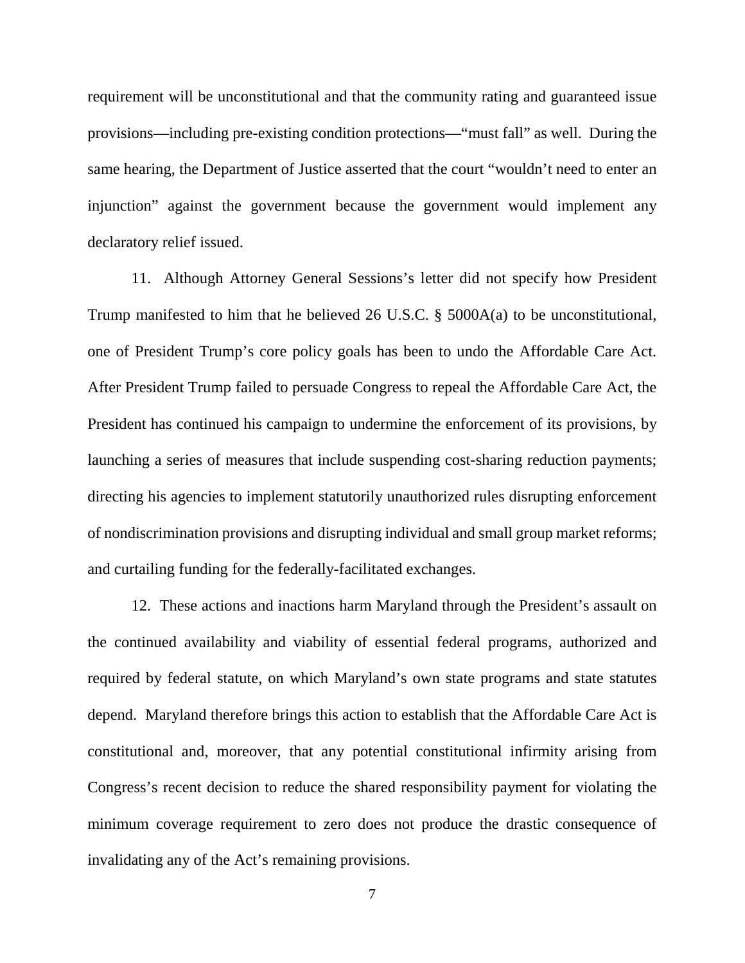requirement will be unconstitutional and that the community rating and guaranteed issue provisions—including pre-existing condition protections—"must fall" as well. During the same hearing, the Department of Justice asserted that the court "wouldn't need to enter an injunction" against the government because the government would implement any declaratory relief issued.

11. Although Attorney General Sessions's letter did not specify how President Trump manifested to him that he believed 26 U.S.C. § 5000A(a) to be unconstitutional, one of President Trump's core policy goals has been to undo the Affordable Care Act. After President Trump failed to persuade Congress to repeal the Affordable Care Act, the President has continued his campaign to undermine the enforcement of its provisions, by launching a series of measures that include suspending cost-sharing reduction payments; directing his agencies to implement statutorily unauthorized rules disrupting enforcement of nondiscrimination provisions and disrupting individual and small group market reforms; and curtailing funding for the federally-facilitated exchanges.

12. These actions and inactions harm Maryland through the President's assault on the continued availability and viability of essential federal programs, authorized and required by federal statute, on which Maryland's own state programs and state statutes depend. Maryland therefore brings this action to establish that the Affordable Care Act is constitutional and, moreover, that any potential constitutional infirmity arising from Congress's recent decision to reduce the shared responsibility payment for violating the minimum coverage requirement to zero does not produce the drastic consequence of invalidating any of the Act's remaining provisions.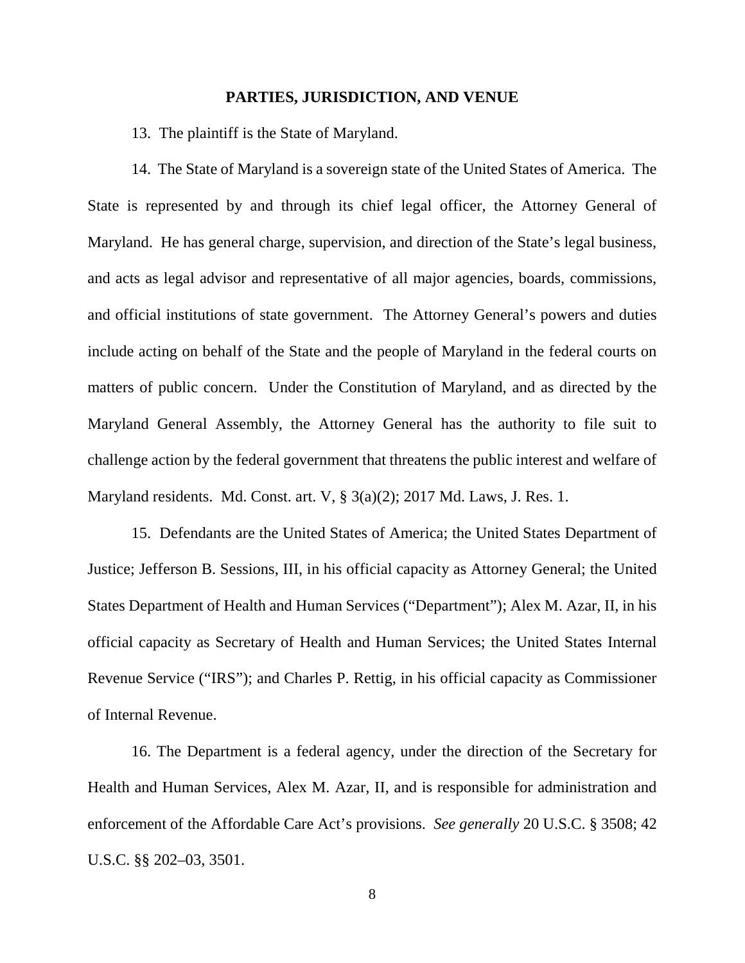#### **PARTIES, JURISDICTION, AND VENUE**

13. The plaintiff is the State of Maryland.

14. The State of Maryland is a sovereign state of the United States of America. The State is represented by and through its chief legal officer, the Attorney General of Maryland. He has general charge, supervision, and direction of the State's legal business, and acts as legal advisor and representative of all major agencies, boards, commissions, and official institutions of state government. The Attorney General's powers and duties include acting on behalf of the State and the people of Maryland in the federal courts on matters of public concern. Under the Constitution of Maryland, and as directed by the Maryland General Assembly, the Attorney General has the authority to file suit to challenge action by the federal government that threatens the public interest and welfare of Maryland residents. Md. Const. art. V, § 3(a)(2); 2017 Md. Laws, J. Res. 1.

15. Defendants are the United States of America; the United States Department of Justice; Jefferson B. Sessions, III, in his official capacity as Attorney General; the United States Department of Health and Human Services ("Department"); Alex M. Azar, II, in his official capacity as Secretary of Health and Human Services; the United States Internal Revenue Service ("IRS"); and Charles P. Rettig, in his official capacity as Commissioner of Internal Revenue.

16. The Department is a federal agency, under the direction of the Secretary for Health and Human Services, Alex M. Azar, II, and is responsible for administration and enforcement of the Affordable Care Act's provisions. *See generally* 20 U.S.C. § 3508; 42 U.S.C. §§ 202–03, 3501.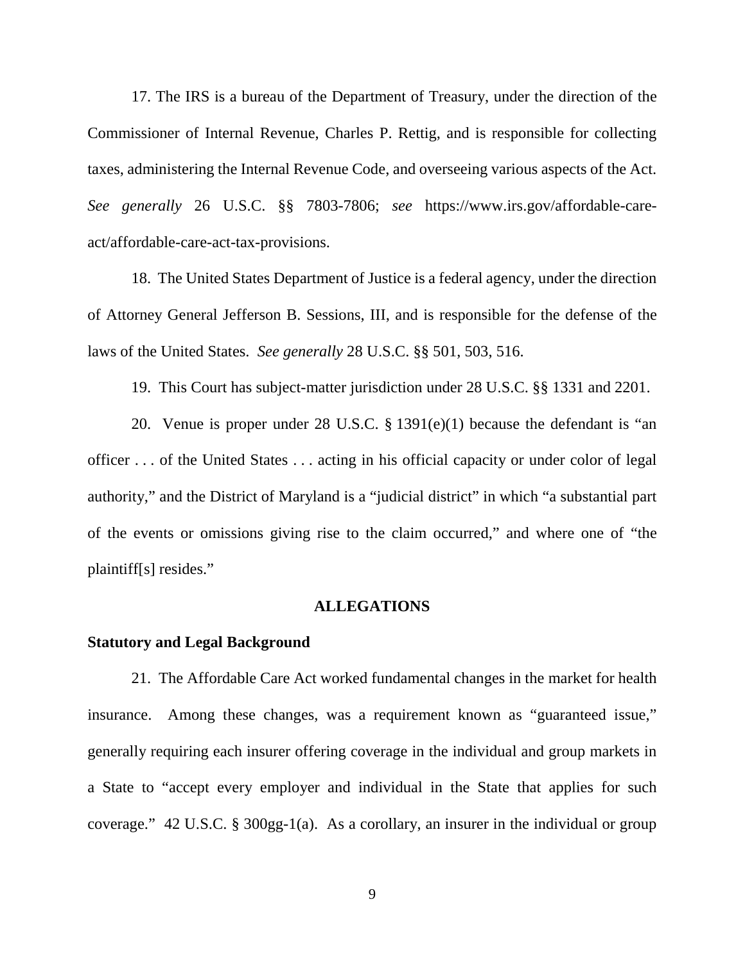17. The IRS is a bureau of the Department of Treasury, under the direction of the Commissioner of Internal Revenue, Charles P. Rettig, and is responsible for collecting taxes, administering the Internal Revenue Code, and overseeing various aspects of the Act. *See generally* 26 U.S.C. §§ 7803-7806; *see* https://www.irs.gov/affordable-careact/affordable-care-act-tax-provisions.

18. The United States Department of Justice is a federal agency, under the direction of Attorney General Jefferson B. Sessions, III, and is responsible for the defense of the laws of the United States. *See generally* 28 U.S.C. §§ 501, 503, 516.

19. This Court has subject-matter jurisdiction under 28 U.S.C. §§ 1331 and 2201.

20. Venue is proper under 28 U.S.C. § 1391(e)(1) because the defendant is "an officer . . . of the United States . . . acting in his official capacity or under color of legal authority," and the District of Maryland is a "judicial district" in which "a substantial part of the events or omissions giving rise to the claim occurred," and where one of "the plaintiff[s] resides."

### **ALLEGATIONS**

### **Statutory and Legal Background**

21.The Affordable Care Act worked fundamental changes in the market for health insurance. Among these changes, was a requirement known as "guaranteed issue," generally requiring each insurer offering coverage in the individual and group markets in a State to "accept every employer and individual in the State that applies for such coverage." 42 U.S.C. § 300gg-1(a). As a corollary, an insurer in the individual or group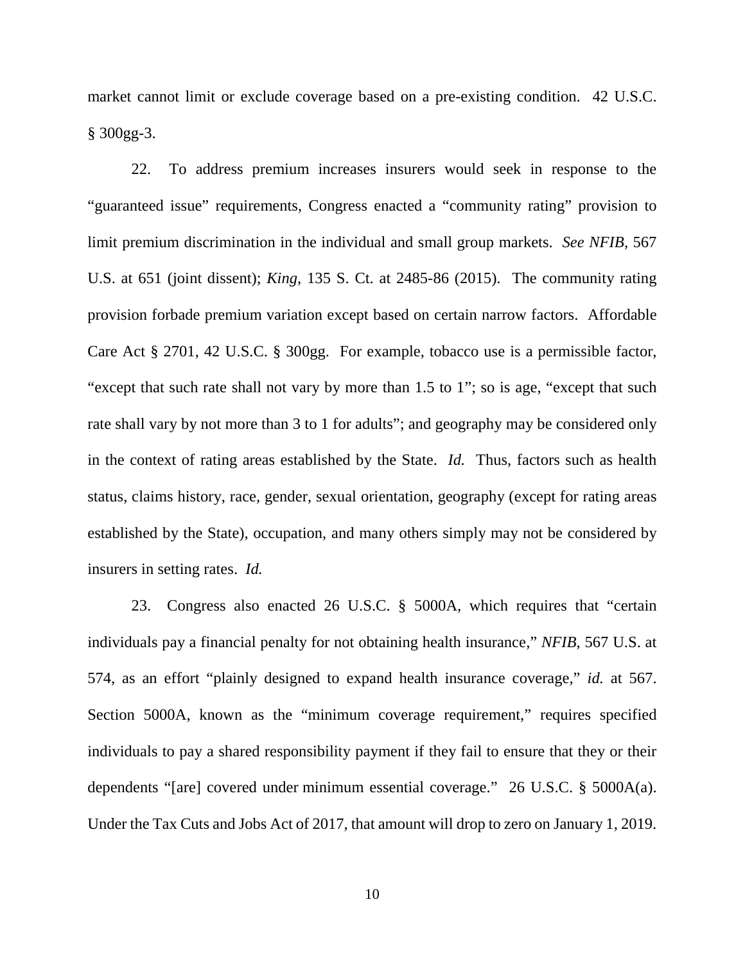market cannot limit or exclude coverage based on a pre-existing condition. 42 U.S.C. § 300gg-3.

22. To address premium increases insurers would seek in response to the "guaranteed issue" requirements, Congress enacted a "community rating" provision to limit premium discrimination in the individual and small group markets. *See NFIB*, 567 U.S. at 651 (joint dissent); *King*, 135 S. Ct. at 2485-86 (2015). The community rating provision forbade premium variation except based on certain narrow factors. Affordable Care Act § 2701, 42 U.S.C. § 300gg. For example, tobacco use is a permissible factor, "except that such rate shall not vary by more than 1.5 to 1"; so is age, "except that such rate shall vary by not more than 3 to 1 for adults"; and geography may be considered only in the context of rating areas established by the State. *Id.* Thus, factors such as health status, claims history, race, gender, sexual orientation, geography (except for rating areas established by the State), occupation, and many others simply may not be considered by insurers in setting rates. *Id.* 

23. Congress also enacted 26 U.S.C. § 5000A, which requires that "certain individuals pay a financial penalty for not obtaining health insurance," *NFIB*, 567 U.S. at 574, as an effort "plainly designed to expand health insurance coverage," *id.* at 567. Section 5000A, known as the "minimum coverage requirement," requires specified individuals to pay a shared responsibility payment if they fail to ensure that they or their dependents "[are] covered under minimum essential coverage." 26 U.S.C. § 5000A(a). Under the Tax Cuts and Jobs Act of 2017, that amount will drop to zero on January 1, 2019.

10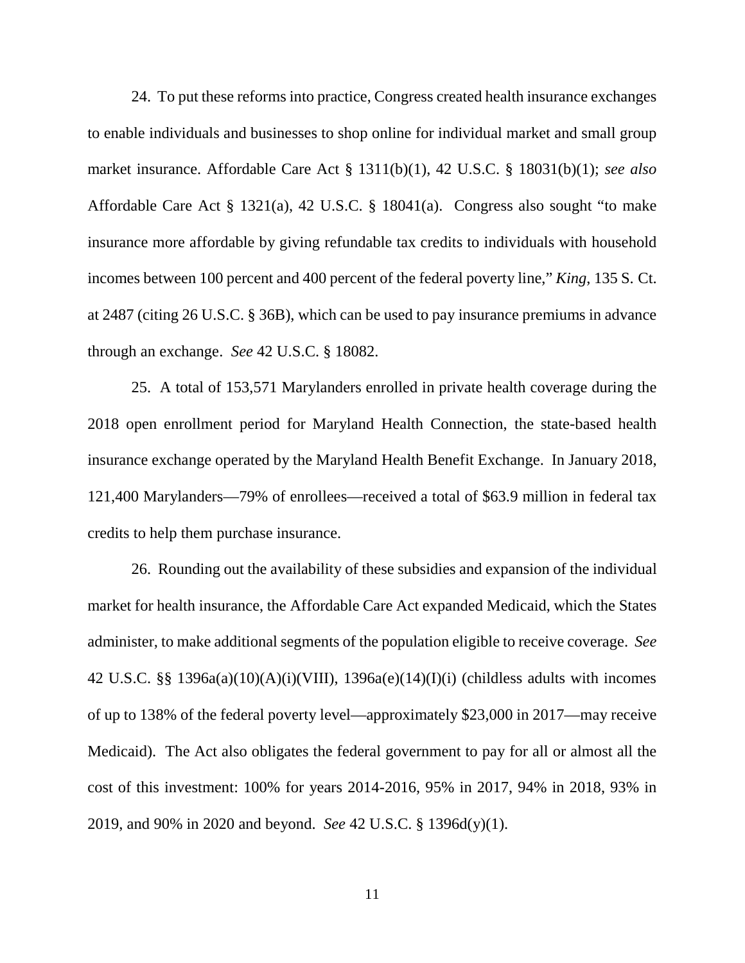24. To put these reforms into practice, Congress created health insurance exchanges to enable individuals and businesses to shop online for individual market and small group market insurance. Affordable Care Act § 1311(b)(1), 42 U.S.C. § 18031(b)(1); *see also* Affordable Care Act § 1321(a), 42 U.S.C. § 18041(a). Congress also sought "to make insurance more affordable by giving refundable tax credits to individuals with household incomes between 100 percent and 400 percent of the federal poverty line," *King*, 135 S. Ct. at 2487 (citing 26 U.S.C. § 36B), which can be used to pay insurance premiums in advance through an exchange. *See* 42 U.S.C. § 18082.

25. A total of 153,571 Marylanders enrolled in private health coverage during the 2018 open enrollment period for Maryland Health Connection, the state-based health insurance exchange operated by the Maryland Health Benefit Exchange. In January 2018, 121,400 Marylanders—79% of enrollees—received a total of \$63.9 million in federal tax credits to help them purchase insurance.

26. Rounding out the availability of these subsidies and expansion of the individual market for health insurance, the Affordable Care Act expanded Medicaid, which the States administer, to make additional segments of the population eligible to receive coverage. *See*  42 U.S.C. §§ 1396a(a)(10)(A)(i)(VIII), 1396a(e)(14)(I)(i) (childless adults with incomes of up to 138% of the federal poverty level—approximately \$23,000 in 2017—may receive Medicaid). The Act also obligates the federal government to pay for all or almost all the cost of this investment: 100% for years 2014-2016, 95% in 2017, 94% in 2018, 93% in 2019, and 90% in 2020 and beyond. *See* 42 U.S.C. § 1396d(y)(1).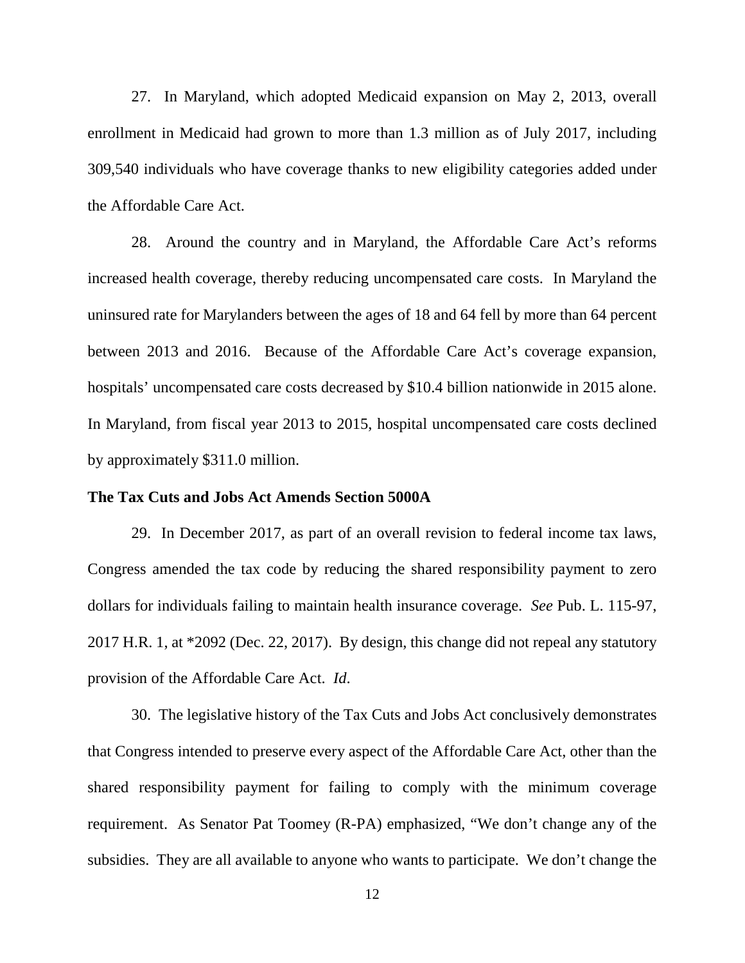27. In Maryland, which adopted Medicaid expansion on May 2, 2013, overall enrollment in Medicaid had grown to more than 1.3 million as of July 2017, including 309,540 individuals who have coverage thanks to new eligibility categories added under the Affordable Care Act.

28. Around the country and in Maryland, the Affordable Care Act's reforms increased health coverage, thereby reducing uncompensated care costs. In Maryland the uninsured rate for Marylanders between the ages of 18 and 64 fell by more than 64 percent between 2013 and 2016. Because of the Affordable Care Act's coverage expansion, hospitals' uncompensated care costs decreased by \$10.4 billion nationwide in 2015 alone. In Maryland, from fiscal year 2013 to 2015, hospital uncompensated care costs declined by approximately \$311.0 million.

# **The Tax Cuts and Jobs Act Amends Section 5000A**

29. In December 2017, as part of an overall revision to federal income tax laws, Congress amended the tax code by reducing the shared responsibility payment to zero dollars for individuals failing to maintain health insurance coverage. *See* Pub. L. 115-97, 2017 H.R. 1, at \*2092 (Dec. 22, 2017). By design, this change did not repeal any statutory provision of the Affordable Care Act. *Id*.

30. The legislative history of the Tax Cuts and Jobs Act conclusively demonstrates that Congress intended to preserve every aspect of the Affordable Care Act, other than the shared responsibility payment for failing to comply with the minimum coverage requirement. As Senator Pat Toomey (R-PA) emphasized, "We don't change any of the subsidies. They are all available to anyone who wants to participate. We don't change the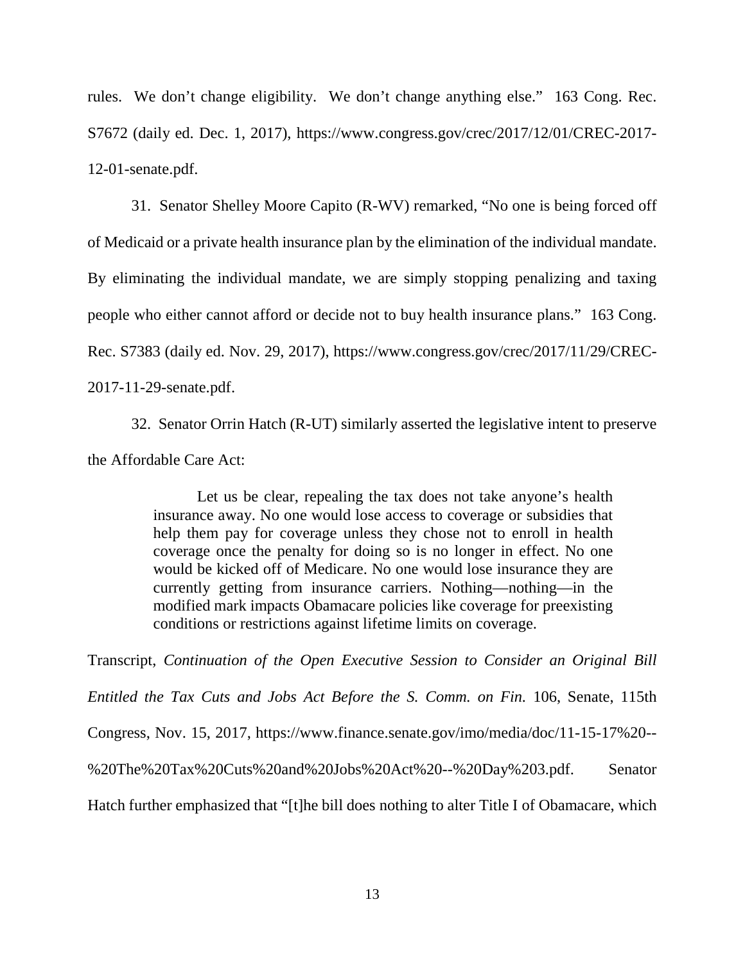rules. We don't change eligibility. We don't change anything else." 163 Cong. Rec. S7672 (daily ed. Dec. 1, 2017), https://www.congress.gov/crec/2017/12/01/CREC-2017- 12-01-senate.pdf.

31. Senator Shelley Moore Capito (R-WV) remarked, "No one is being forced off of Medicaid or a private health insurance plan by the elimination of the individual mandate. By eliminating the individual mandate, we are simply stopping penalizing and taxing people who either cannot afford or decide not to buy health insurance plans." 163 Cong. Rec. S7383 (daily ed. Nov. 29, 2017), https://www.congress.gov/crec/2017/11/29/CREC-2017-11-29-senate.pdf.

32. Senator Orrin Hatch (R-UT) similarly asserted the legislative intent to preserve the Affordable Care Act:

> Let us be clear, repealing the tax does not take anyone's health insurance away. No one would lose access to coverage or subsidies that help them pay for coverage unless they chose not to enroll in health coverage once the penalty for doing so is no longer in effect. No one would be kicked off of Medicare. No one would lose insurance they are currently getting from insurance carriers. Nothing—nothing—in the modified mark impacts Obamacare policies like coverage for preexisting conditions or restrictions against lifetime limits on coverage.

Transcript, *Continuation of the Open Executive Session to Consider an Original Bill Entitled the Tax Cuts and Jobs Act Before the S. Comm. on Fin.* 106, Senate, 115th Congress, Nov. 15, 2017, https://www.finance.senate.gov/imo/media/doc/11-15-17%20-- %20The%20Tax%20Cuts%20and%20Jobs%20Act%20--%20Day%203.pdf. Senator Hatch further emphasized that "[t]he bill does nothing to alter Title I of Obamacare, which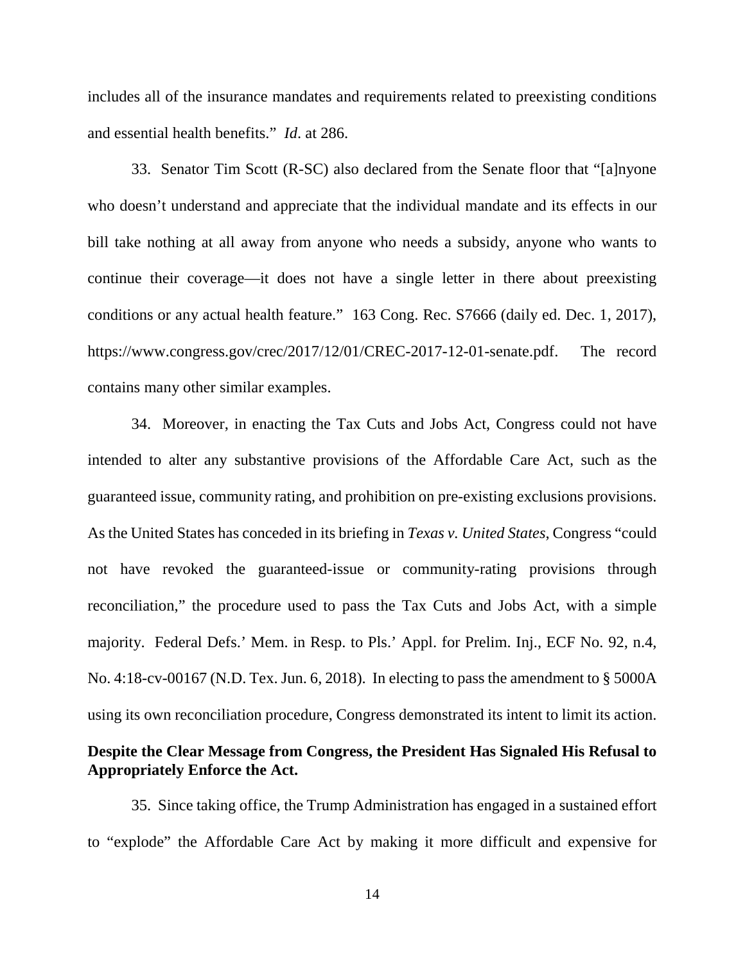includes all of the insurance mandates and requirements related to preexisting conditions and essential health benefits." *Id*. at 286.

33. Senator Tim Scott (R-SC) also declared from the Senate floor that "[a]nyone who doesn't understand and appreciate that the individual mandate and its effects in our bill take nothing at all away from anyone who needs a subsidy, anyone who wants to continue their coverage—it does not have a single letter in there about preexisting conditions or any actual health feature." 163 Cong. Rec. S7666 (daily ed. Dec. 1, 2017), https://www.congress.gov/crec/2017/12/01/CREC-2017-12-01-senate.pdf. The record contains many other similar examples.

34. Moreover, in enacting the Tax Cuts and Jobs Act, Congress could not have intended to alter any substantive provisions of the Affordable Care Act, such as the guaranteed issue, community rating, and prohibition on pre-existing exclusions provisions. As the United States has conceded in its briefing in *Texas v. United States*, Congress "could not have revoked the guaranteed-issue or community-rating provisions through reconciliation," the procedure used to pass the Tax Cuts and Jobs Act, with a simple majority. Federal Defs.' Mem. in Resp. to Pls.' Appl. for Prelim. Inj., ECF No. 92, n.4, No. 4:18-cv-00167 (N.D. Tex. Jun. 6, 2018). In electing to pass the amendment to § 5000A using its own reconciliation procedure, Congress demonstrated its intent to limit its action.

# **Despite the Clear Message from Congress, the President Has Signaled His Refusal to Appropriately Enforce the Act.**

35. Since taking office, the Trump Administration has engaged in a sustained effort to "explode" the Affordable Care Act by making it more difficult and expensive for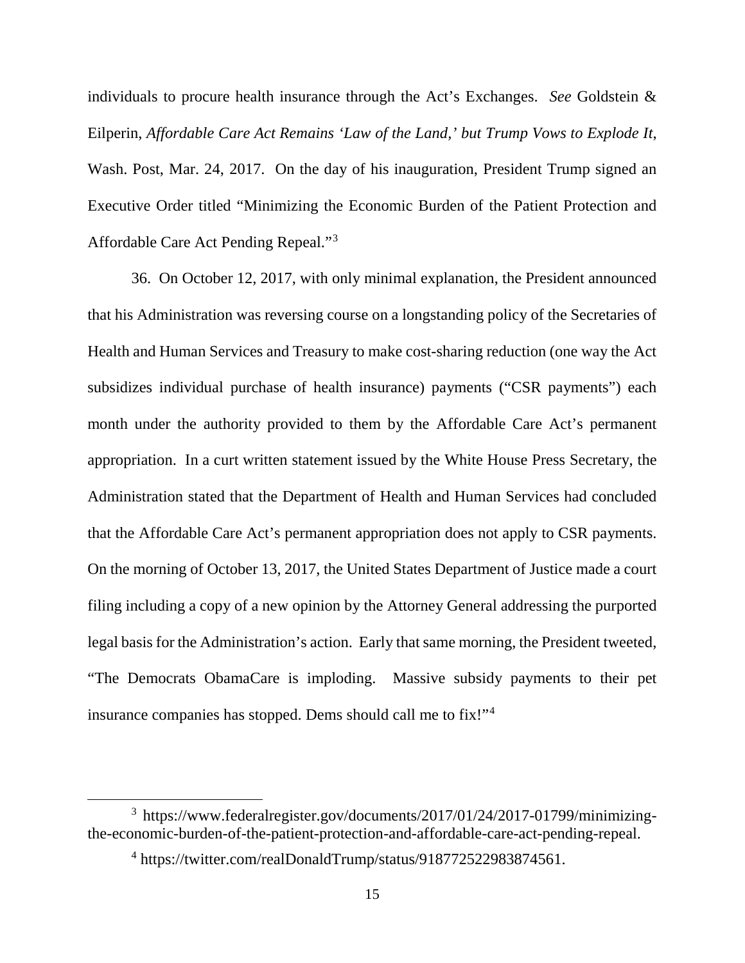individuals to procure health insurance through the Act's Exchanges. *See* Goldstein & Eilperin, *Affordable Care Act Remains 'Law of the Land,' but Trump Vows to Explode It*, Wash. Post, Mar. 24, 2017. On the day of his inauguration, President Trump signed an Executive Order titled "Minimizing the Economic Burden of the Patient Protection and Affordable Care Act Pending Repeal."[3](#page-14-0)

36. On October 12, 2017, with only minimal explanation, the President announced that his Administration was reversing course on a longstanding policy of the Secretaries of Health and Human Services and Treasury to make cost-sharing reduction (one way the Act subsidizes individual purchase of health insurance) payments ("CSR payments") each month under the authority provided to them by the Affordable Care Act's permanent appropriation. In a curt written statement issued by the White House Press Secretary, the Administration stated that the Department of Health and Human Services had concluded that the Affordable Care Act's permanent appropriation does not apply to CSR payments. On the morning of October 13, 2017, the United States Department of Justice made a court filing including a copy of a new opinion by the Attorney General addressing the purported legal basis for the Administration's action. Early that same morning, the President tweeted, "The Democrats ObamaCare is imploding. Massive subsidy payments to their pet insurance companies has stopped. Dems should call me to fix!"<sup>[4](#page-14-1)</sup>

<span id="page-14-1"></span><span id="page-14-0"></span> <sup>3</sup> https://www.federalregister.gov/documents/2017/01/24/2017-01799/minimizingthe-economic-burden-of-the-patient-protection-and-affordable-care-act-pending-repeal.

<sup>4</sup> https://twitter.com/realDonaldTrump/status/918772522983874561.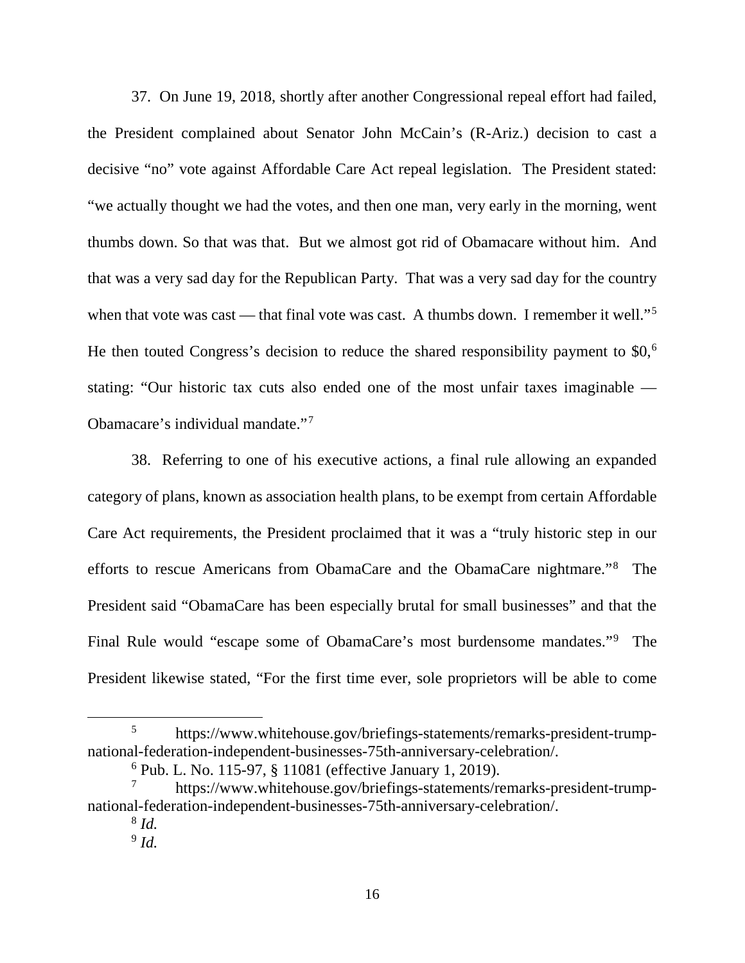37. On June 19, 2018, shortly after another Congressional repeal effort had failed, the President complained about Senator John McCain's (R-Ariz.) decision to cast a decisive "no" vote against Affordable Care Act repeal legislation. The President stated: "we actually thought we had the votes, and then one man, very early in the morning, went thumbs down. So that was that. But we almost got rid of Obamacare without him. And that was a very sad day for the Republican Party. That was a very sad day for the country when that vote was cast — that final vote was cast. A thumbs down. I remember it well."<sup>[5](#page-15-0)</sup> He then touted Congress's decision to reduce the shared responsibility payment to \$0,<sup>[6](#page-15-1)</sup> stating: "Our historic tax cuts also ended one of the most unfair taxes imaginable — Obamacare's individual mandate."[7](#page-15-2)

38. Referring to one of his executive actions, a final rule allowing an expanded category of plans, known as association health plans, to be exempt from certain Affordable Care Act requirements, the President proclaimed that it was a "truly historic step in our efforts to rescue Americans from ObamaCare and the ObamaCare nightmare."[8](#page-15-3) The President said "ObamaCare has been especially brutal for small businesses" and that the Final Rule would "escape some of ObamaCare's most burdensome mandates."[9](#page-15-4) The President likewise stated, "For the first time ever, sole proprietors will be able to come

<span id="page-15-0"></span> <sup>5</sup> https://www.whitehouse.gov/briefings-statements/remarks-president-trumpnational-federation-independent-businesses-75th-anniversary-celebration/.

<sup>6</sup> Pub. L. No. 115-97, § 11081 (effective January 1, 2019).

<span id="page-15-4"></span><span id="page-15-3"></span><span id="page-15-2"></span><span id="page-15-1"></span><sup>7</sup> https://www.whitehouse.gov/briefings-statements/remarks-president-trumpnational-federation-independent-businesses-75th-anniversary-celebration/.

<sup>8</sup> *Id.*

<sup>9</sup> *Id.*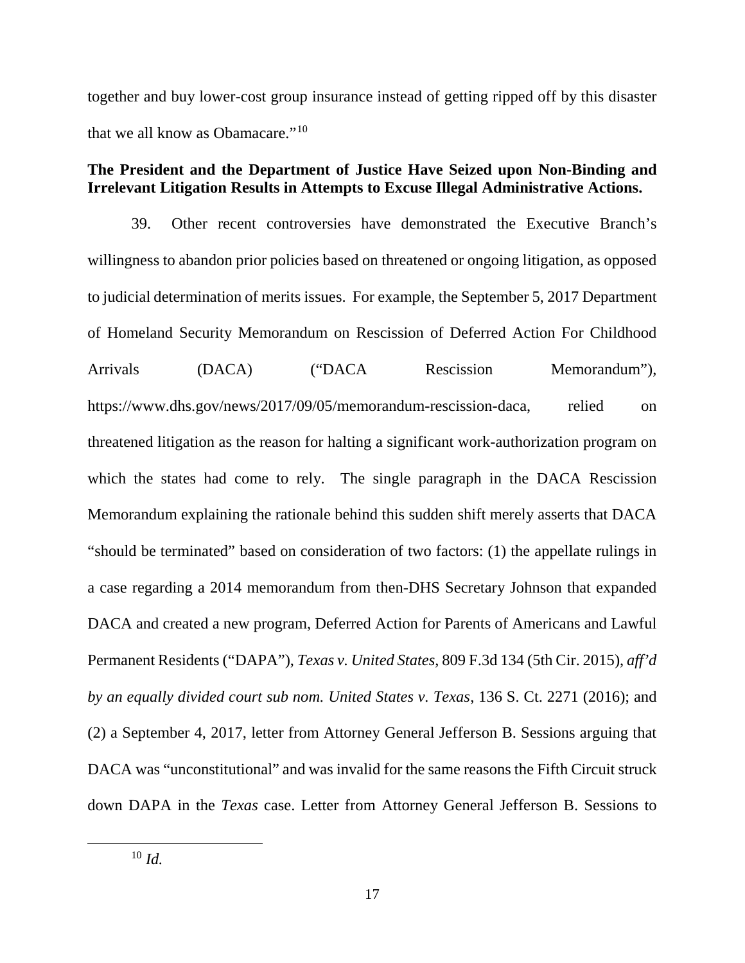together and buy lower-cost group insurance instead of getting ripped off by this disaster that we all know as Obamacare."[10](#page-16-0)

# **The President and the Department of Justice Have Seized upon Non-Binding and Irrelevant Litigation Results in Attempts to Excuse Illegal Administrative Actions.**

<span id="page-16-0"></span>39. Other recent controversies have demonstrated the Executive Branch's willingness to abandon prior policies based on threatened or ongoing litigation, as opposed to judicial determination of merits issues. For example, the September 5, 2017 Department of Homeland Security Memorandum on Rescission of Deferred Action For Childhood Arrivals (DACA) ("DACA Rescission Memorandum"), https://www.dhs.gov/news/2017/09/05/memorandum-rescission-daca, relied on threatened litigation as the reason for halting a significant work-authorization program on which the states had come to rely. The single paragraph in the DACA Rescission Memorandum explaining the rationale behind this sudden shift merely asserts that DACA "should be terminated" based on consideration of two factors: (1) the appellate rulings in a case regarding a 2014 memorandum from then-DHS Secretary Johnson that expanded DACA and created a new program, Deferred Action for Parents of Americans and Lawful Permanent Residents ("DAPA"), *Texas v. United States*, 809 F.3d 134 (5th Cir. 2015), *aff'd by an equally divided court sub nom. United States v. Texas*, 136 S. Ct. 2271 (2016); and (2) a September 4, 2017, letter from Attorney General Jefferson B. Sessions arguing that DACA was "unconstitutional" and was invalid for the same reasons the Fifth Circuit struck down DAPA in the *Texas* case. Letter from Attorney General Jefferson B. Sessions to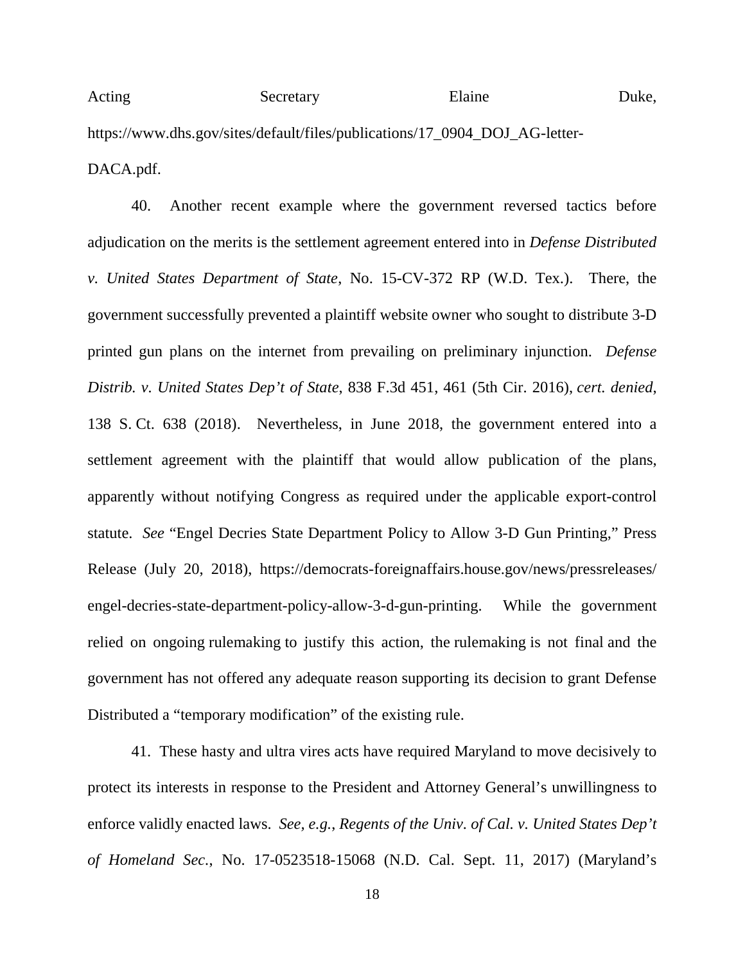Acting Secretary Elaine Duke, https://www.dhs.gov/sites/default/files/publications/17\_0904\_DOJ\_AG-letter-DACA.pdf.

40. Another recent example where the government reversed tactics before adjudication on the merits is the settlement agreement entered into in *Defense Distributed v. United States Department of State*, No. 15-CV-372 RP (W.D. Tex.). There, the government successfully prevented a plaintiff website owner who sought to distribute 3-D printed gun plans on the internet from prevailing on preliminary injunction. *Defense Distrib. v. United States Dep't of State*, 838 F.3d 451, 461 (5th Cir. 2016), *cert. denied*, 138 S. Ct. 638 (2018). Nevertheless, in June 2018, the government entered into a settlement agreement with the plaintiff that would allow publication of the plans, apparently without notifying Congress as required under the applicable export-control statute. *See* "Engel Decries State Department Policy to Allow 3-D Gun Printing," Press Release (July 20, 2018), https://democrats-foreignaffairs.house.gov/news/pressreleases/ engel-decries-state-department-policy-allow-3-d-gun-printing. While the government relied on ongoing rulemaking to justify this action, the rulemaking is not final and the government has not offered any adequate reason supporting its decision to grant Defense Distributed a "temporary modification" of the existing rule.

41. These hasty and ultra vires acts have required Maryland to move decisively to protect its interests in response to the President and Attorney General's unwillingness to enforce validly enacted laws. *See, e.g.*, *Regents of the Univ. of Cal. v. United States Dep't of Homeland Sec.*, No. 17-0523518-15068 (N.D. Cal. Sept. 11, 2017) (Maryland's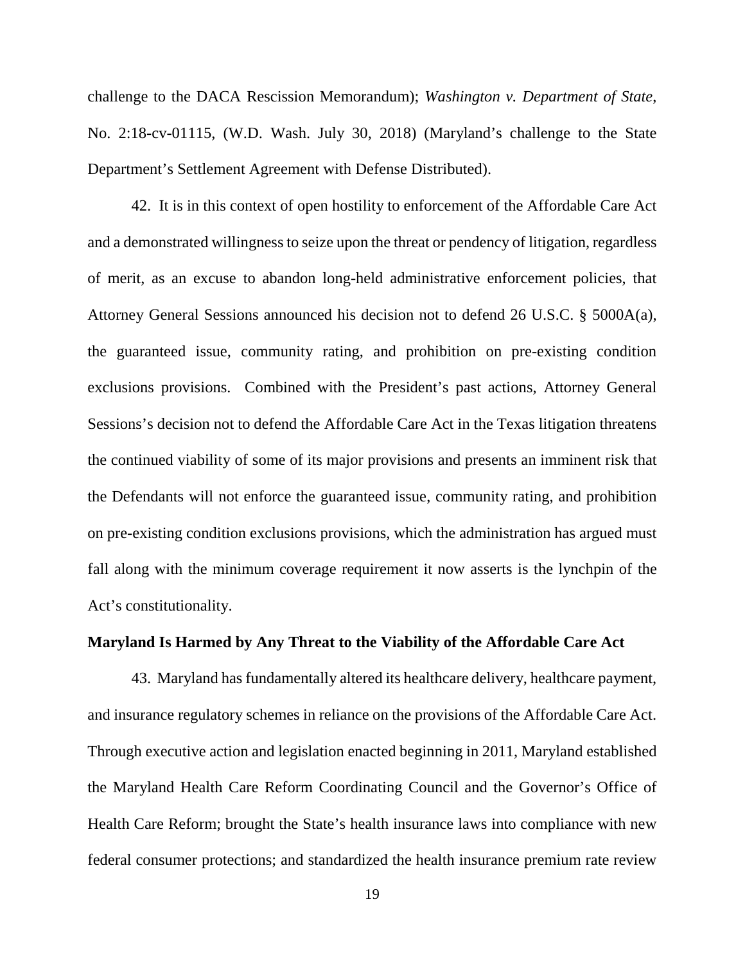challenge to the DACA Rescission Memorandum); *Washington v. Department of State*, No. 2:18-cv-01115, (W.D. Wash. July 30, 2018) (Maryland's challenge to the State Department's Settlement Agreement with Defense Distributed).

42. It is in this context of open hostility to enforcement of the Affordable Care Act and a demonstrated willingness to seize upon the threat or pendency of litigation, regardless of merit, as an excuse to abandon long-held administrative enforcement policies, that Attorney General Sessions announced his decision not to defend 26 U.S.C. § 5000A(a), the guaranteed issue, community rating, and prohibition on pre-existing condition exclusions provisions. Combined with the President's past actions, Attorney General Sessions's decision not to defend the Affordable Care Act in the Texas litigation threatens the continued viability of some of its major provisions and presents an imminent risk that the Defendants will not enforce the guaranteed issue, community rating, and prohibition on pre-existing condition exclusions provisions, which the administration has argued must fall along with the minimum coverage requirement it now asserts is the lynchpin of the Act's constitutionality.

### **Maryland Is Harmed by Any Threat to the Viability of the Affordable Care Act**

43. Maryland has fundamentally altered its healthcare delivery, healthcare payment, and insurance regulatory schemes in reliance on the provisions of the Affordable Care Act. Through executive action and legislation enacted beginning in 2011, Maryland established the Maryland Health Care Reform Coordinating Council and the Governor's Office of Health Care Reform; brought the State's health insurance laws into compliance with new federal consumer protections; and standardized the health insurance premium rate review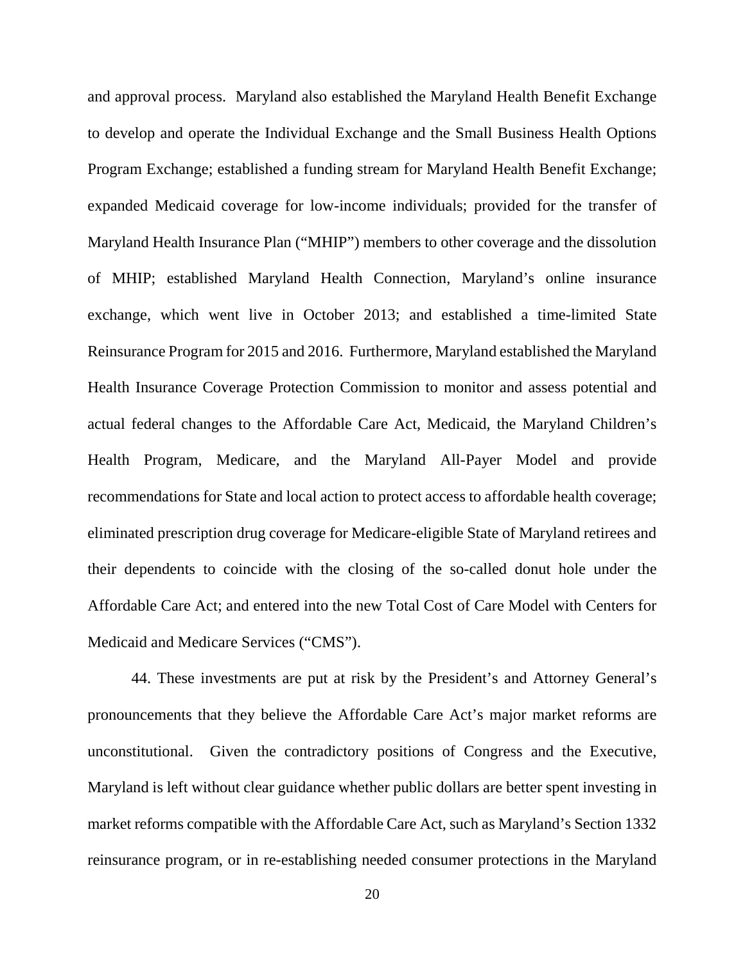and approval process. Maryland also established the Maryland Health Benefit Exchange to develop and operate the Individual Exchange and the Small Business Health Options Program Exchange; established a funding stream for Maryland Health Benefit Exchange; expanded Medicaid coverage for low-income individuals; provided for the transfer of Maryland Health Insurance Plan ("MHIP") members to other coverage and the dissolution of MHIP; established Maryland Health Connection, Maryland's online insurance exchange, which went live in October 2013; and established a time-limited State Reinsurance Program for 2015 and 2016. Furthermore, Maryland established the Maryland Health Insurance Coverage Protection Commission to monitor and assess potential and actual federal changes to the Affordable Care Act, Medicaid, the Maryland Children's Health Program, Medicare, and the Maryland All-Payer Model and provide recommendations for State and local action to protect access to affordable health coverage; eliminated prescription drug coverage for Medicare-eligible State of Maryland retirees and their dependents to coincide with the closing of the so-called donut hole under the Affordable Care Act; and entered into the new Total Cost of Care Model with Centers for Medicaid and Medicare Services ("CMS").

44. These investments are put at risk by the President's and Attorney General's pronouncements that they believe the Affordable Care Act's major market reforms are unconstitutional. Given the contradictory positions of Congress and the Executive, Maryland is left without clear guidance whether public dollars are better spent investing in market reforms compatible with the Affordable Care Act, such as Maryland's Section 1332 reinsurance program, or in re-establishing needed consumer protections in the Maryland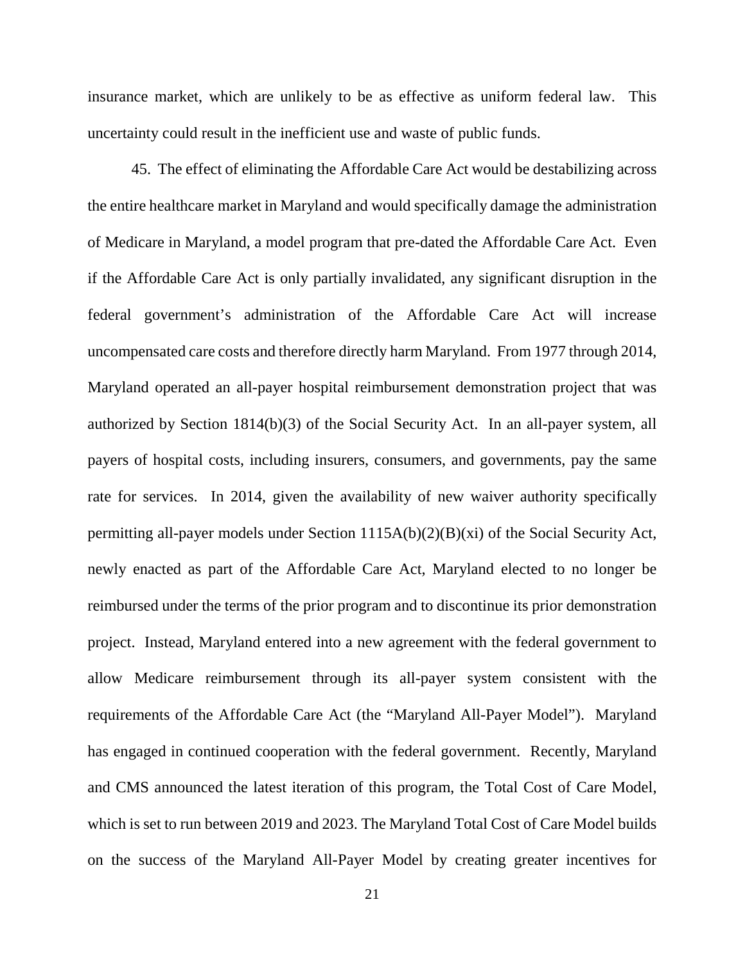insurance market, which are unlikely to be as effective as uniform federal law. This uncertainty could result in the inefficient use and waste of public funds.

45. The effect of eliminating the Affordable Care Act would be destabilizing across the entire healthcare market in Maryland and would specifically damage the administration of Medicare in Maryland, a model program that pre-dated the Affordable Care Act. Even if the Affordable Care Act is only partially invalidated, any significant disruption in the federal government's administration of the Affordable Care Act will increase uncompensated care costs and therefore directly harm Maryland. From 1977 through 2014, Maryland operated an all-payer hospital reimbursement demonstration project that was authorized by Section 1814(b)(3) of the Social Security Act. In an all-payer system, all payers of hospital costs, including insurers, consumers, and governments, pay the same rate for services. In 2014, given the availability of new waiver authority specifically permitting all-payer models under Section 1115A(b)(2)(B)(xi) of the Social Security Act, newly enacted as part of the Affordable Care Act, Maryland elected to no longer be reimbursed under the terms of the prior program and to discontinue its prior demonstration project. Instead, Maryland entered into a new agreement with the federal government to allow Medicare reimbursement through its all-payer system consistent with the requirements of the Affordable Care Act (the "Maryland All-Payer Model"). Maryland has engaged in continued cooperation with the federal government. Recently, Maryland and CMS announced the latest iteration of this program, the Total Cost of Care Model, which is set to run between 2019 and 2023. The Maryland Total Cost of Care Model builds on the success of the Maryland All-Payer Model by creating greater incentives for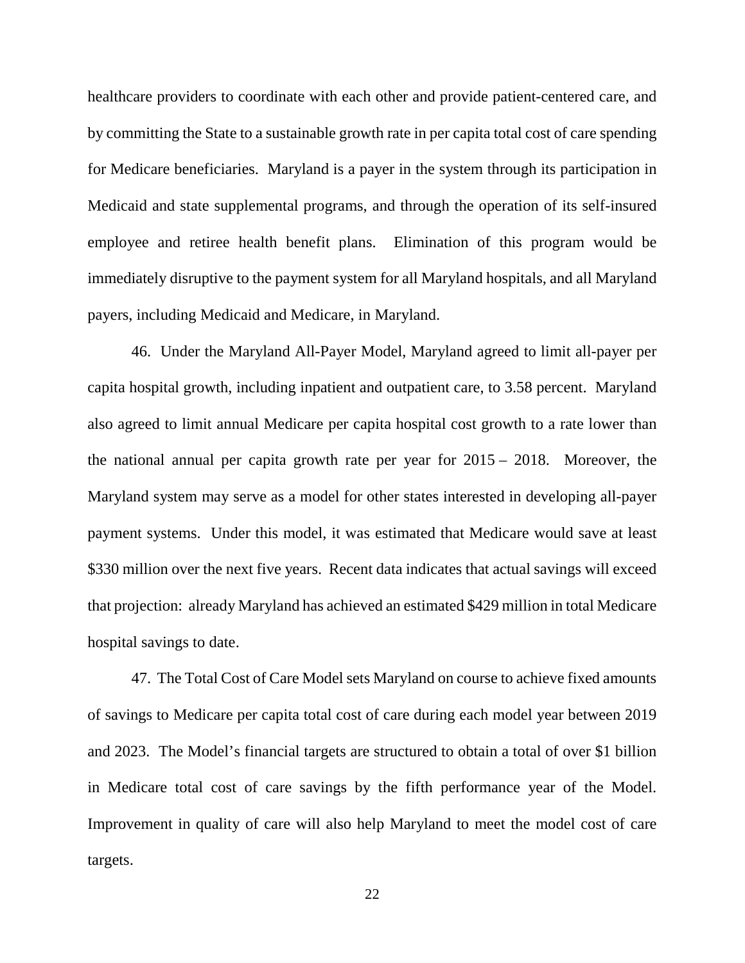healthcare providers to coordinate with each other and provide patient-centered care, and by committing the State to a sustainable growth rate in per capita total cost of care spending for Medicare beneficiaries. Maryland is a payer in the system through its participation in Medicaid and state supplemental programs, and through the operation of its self-insured employee and retiree health benefit plans. Elimination of this program would be immediately disruptive to the payment system for all Maryland hospitals, and all Maryland payers, including Medicaid and Medicare, in Maryland.

46. Under the Maryland All-Payer Model, Maryland agreed to limit all-payer per capita hospital growth, including inpatient and outpatient care, to 3.58 percent. Maryland also agreed to limit annual Medicare per capita hospital cost growth to a rate lower than the national annual per capita growth rate per year for 2015 – 2018. Moreover, the Maryland system may serve as a model for other states interested in developing all-payer payment systems. Under this model, it was estimated that Medicare would save at least \$330 million over the next five years. Recent data indicates that actual savings will exceed that projection: already Maryland has achieved an estimated \$429 million in total Medicare hospital savings to date.

47. The Total Cost of Care Model sets Maryland on course to achieve fixed amounts of savings to Medicare per capita total cost of care during each model year between 2019 and 2023. The Model's financial targets are structured to obtain a total of over \$1 billion in Medicare total cost of care savings by the fifth performance year of the Model. Improvement in quality of care will also help Maryland to meet the model cost of care targets.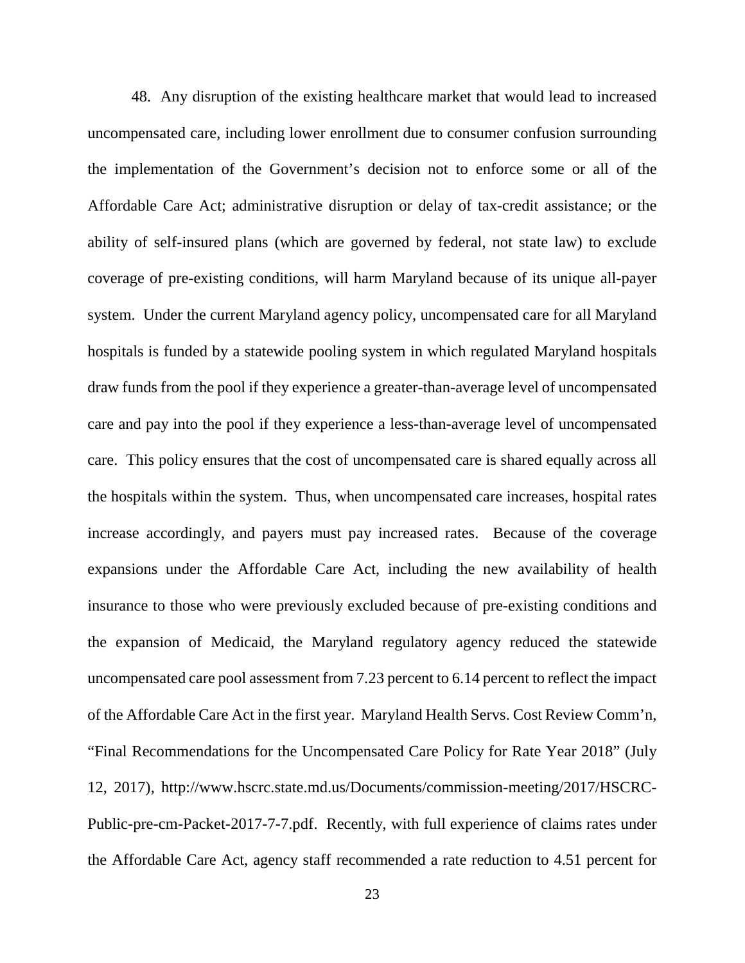48. Any disruption of the existing healthcare market that would lead to increased uncompensated care, including lower enrollment due to consumer confusion surrounding the implementation of the Government's decision not to enforce some or all of the Affordable Care Act; administrative disruption or delay of tax-credit assistance; or the ability of self-insured plans (which are governed by federal, not state law) to exclude coverage of pre-existing conditions, will harm Maryland because of its unique all-payer system. Under the current Maryland agency policy, uncompensated care for all Maryland hospitals is funded by a statewide pooling system in which regulated Maryland hospitals draw funds from the pool if they experience a greater-than-average level of uncompensated care and pay into the pool if they experience a less-than-average level of uncompensated care. This policy ensures that the cost of uncompensated care is shared equally across all the hospitals within the system. Thus, when uncompensated care increases, hospital rates increase accordingly, and payers must pay increased rates. Because of the coverage expansions under the Affordable Care Act, including the new availability of health insurance to those who were previously excluded because of pre-existing conditions and the expansion of Medicaid, the Maryland regulatory agency reduced the statewide uncompensated care pool assessment from 7.23 percent to 6.14 percent to reflect the impact of the Affordable Care Act in the first year. Maryland Health Servs. Cost Review Comm'n, "Final Recommendations for the Uncompensated Care Policy for Rate Year 2018" (July 12, 2017), http://www.hscrc.state.md.us/Documents/commission-meeting/2017/HSCRC-Public-pre-cm-Packet-2017-7-7.pdf. Recently, with full experience of claims rates under the Affordable Care Act, agency staff recommended a rate reduction to 4.51 percent for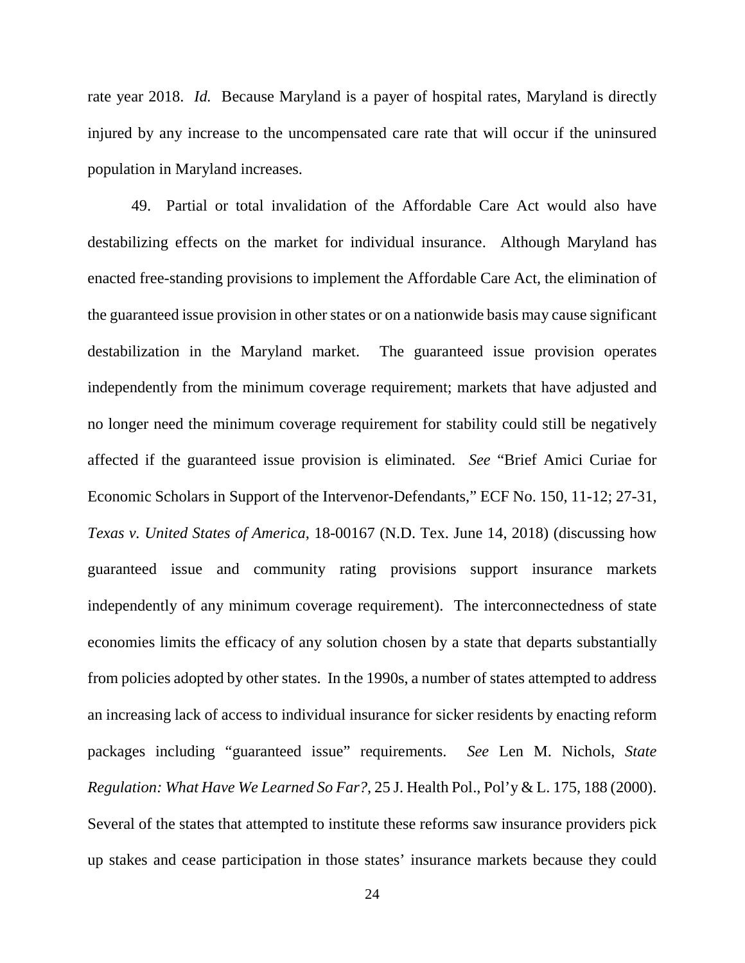rate year 2018. *Id.* Because Maryland is a payer of hospital rates, Maryland is directly injured by any increase to the uncompensated care rate that will occur if the uninsured population in Maryland increases.

49. Partial or total invalidation of the Affordable Care Act would also have destabilizing effects on the market for individual insurance. Although Maryland has enacted free-standing provisions to implement the Affordable Care Act, the elimination of the guaranteed issue provision in other states or on a nationwide basis may cause significant destabilization in the Maryland market. The guaranteed issue provision operates independently from the minimum coverage requirement; markets that have adjusted and no longer need the minimum coverage requirement for stability could still be negatively affected if the guaranteed issue provision is eliminated. *See* "Brief Amici Curiae for Economic Scholars in Support of the Intervenor-Defendants," ECF No. 150, 11-12; 27-31, *Texas v. United States of America*, 18-00167 (N.D. Tex. June 14, 2018) (discussing how guaranteed issue and community rating provisions support insurance markets independently of any minimum coverage requirement). The interconnectedness of state economies limits the efficacy of any solution chosen by a state that departs substantially from policies adopted by other states. In the 1990s, a number of states attempted to address an increasing lack of access to individual insurance for sicker residents by enacting reform packages including "guaranteed issue" requirements. *See* Len M. Nichols, *State Regulation: What Have We Learned So Far?*, 25 J. Health Pol., Pol'y & L. 175, 188 (2000). Several of the states that attempted to institute these reforms saw insurance providers pick up stakes and cease participation in those states' insurance markets because they could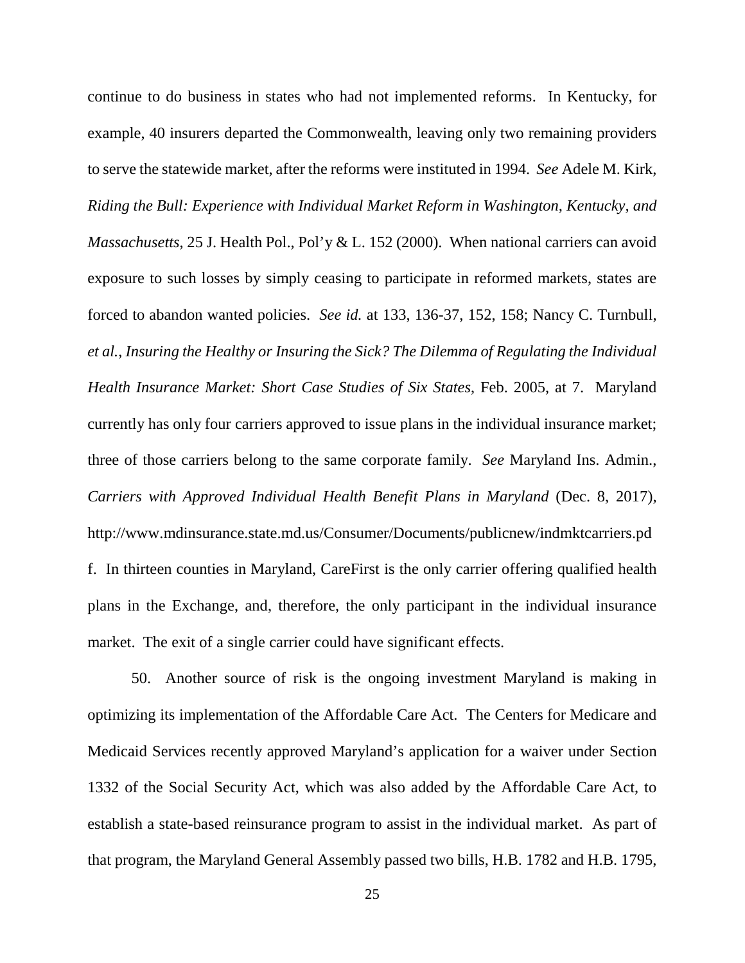continue to do business in states who had not implemented reforms. In Kentucky, for example, 40 insurers departed the Commonwealth, leaving only two remaining providers to serve the statewide market, after the reforms were instituted in 1994. *See* Adele M. Kirk, *Riding the Bull: Experience with Individual Market Reform in Washington, Kentucky, and Massachusetts*, 25 J. Health Pol., Pol'y & L. 152 (2000). When national carriers can avoid exposure to such losses by simply ceasing to participate in reformed markets, states are forced to abandon wanted policies. *See id.* at 133, 136-37, 152, 158; Nancy C. Turnbull, *et al.*, *Insuring the Healthy or Insuring the Sick? The Dilemma of Regulating the Individual Health Insurance Market: Short Case Studies of Six States*, Feb. 2005, at 7. Maryland currently has only four carriers approved to issue plans in the individual insurance market; three of those carriers belong to the same corporate family. *See* Maryland Ins. Admin., *Carriers with Approved Individual Health Benefit Plans in Maryland* (Dec. 8, 2017), http://www.mdinsurance.state.md.us/Consumer/Documents/publicnew/indmktcarriers.pd f. In thirteen counties in Maryland, CareFirst is the only carrier offering qualified health plans in the Exchange, and, therefore, the only participant in the individual insurance market. The exit of a single carrier could have significant effects.

50. Another source of risk is the ongoing investment Maryland is making in optimizing its implementation of the Affordable Care Act. The Centers for Medicare and Medicaid Services recently approved Maryland's application for a waiver under Section 1332 of the Social Security Act, which was also added by the Affordable Care Act, to establish a state-based reinsurance program to assist in the individual market. As part of that program, the Maryland General Assembly passed two bills, H.B. 1782 and H.B. 1795,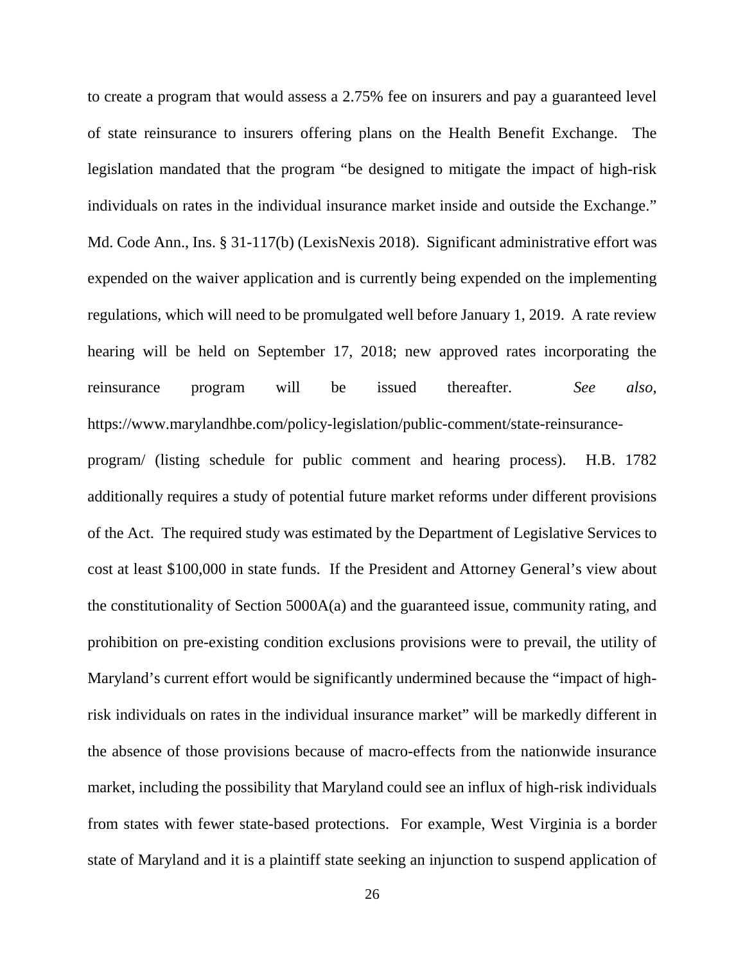to create a program that would assess a 2.75% fee on insurers and pay a guaranteed level of state reinsurance to insurers offering plans on the Health Benefit Exchange. The legislation mandated that the program "be designed to mitigate the impact of high-risk individuals on rates in the individual insurance market inside and outside the Exchange." Md. Code Ann., Ins. § 31-117(b) (LexisNexis 2018). Significant administrative effort was expended on the waiver application and is currently being expended on the implementing regulations, which will need to be promulgated well before January 1, 2019. A rate review hearing will be held on September 17, 2018; new approved rates incorporating the reinsurance program will be issued thereafter. *See also*, https://www.marylandhbe.com/policy-legislation/public-comment/state-reinsurance-

program/ (listing schedule for public comment and hearing process). H.B. 1782 additionally requires a study of potential future market reforms under different provisions of the Act. The required study was estimated by the Department of Legislative Services to cost at least \$100,000 in state funds. If the President and Attorney General's view about the constitutionality of Section 5000A(a) and the guaranteed issue, community rating, and prohibition on pre-existing condition exclusions provisions were to prevail, the utility of Maryland's current effort would be significantly undermined because the "impact of highrisk individuals on rates in the individual insurance market" will be markedly different in the absence of those provisions because of macro-effects from the nationwide insurance market, including the possibility that Maryland could see an influx of high-risk individuals from states with fewer state-based protections. For example, West Virginia is a border state of Maryland and it is a plaintiff state seeking an injunction to suspend application of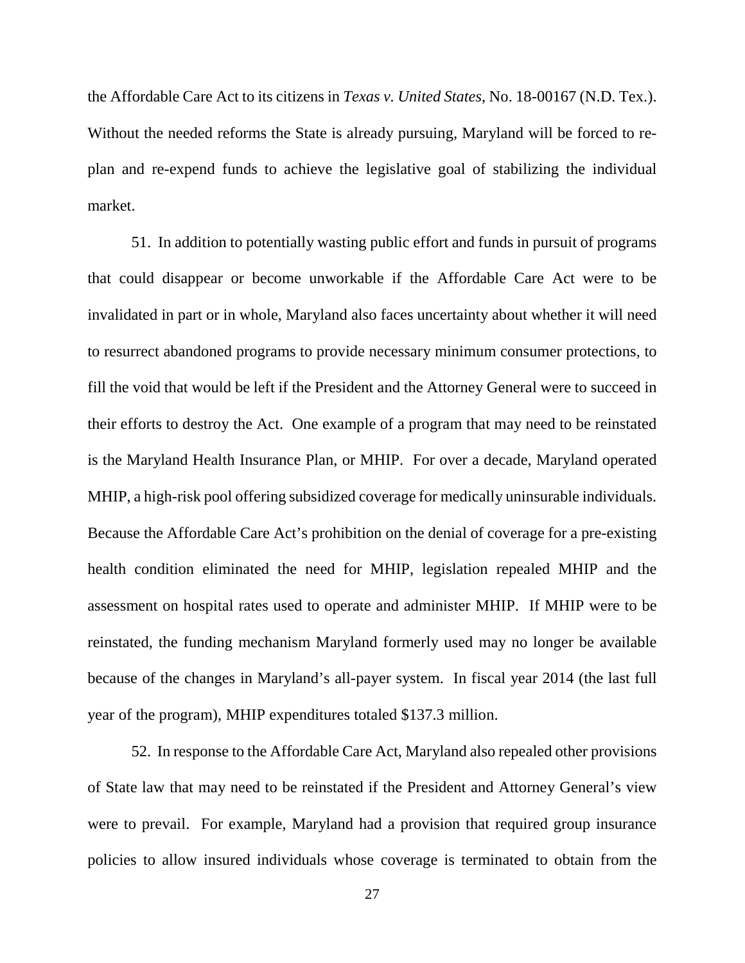the Affordable Care Act to its citizens in *Texas v. United States*, No. 18-00167 (N.D. Tex.). Without the needed reforms the State is already pursuing, Maryland will be forced to replan and re-expend funds to achieve the legislative goal of stabilizing the individual market.

51. In addition to potentially wasting public effort and funds in pursuit of programs that could disappear or become unworkable if the Affordable Care Act were to be invalidated in part or in whole, Maryland also faces uncertainty about whether it will need to resurrect abandoned programs to provide necessary minimum consumer protections, to fill the void that would be left if the President and the Attorney General were to succeed in their efforts to destroy the Act. One example of a program that may need to be reinstated is the Maryland Health Insurance Plan, or MHIP. For over a decade, Maryland operated MHIP, a high-risk pool offering subsidized coverage for medically uninsurable individuals. Because the Affordable Care Act's prohibition on the denial of coverage for a pre-existing health condition eliminated the need for MHIP, legislation repealed MHIP and the assessment on hospital rates used to operate and administer MHIP. If MHIP were to be reinstated, the funding mechanism Maryland formerly used may no longer be available because of the changes in Maryland's all-payer system. In fiscal year 2014 (the last full year of the program), MHIP expenditures totaled \$137.3 million.

52. In response to the Affordable Care Act, Maryland also repealed other provisions of State law that may need to be reinstated if the President and Attorney General's view were to prevail. For example, Maryland had a provision that required group insurance policies to allow insured individuals whose coverage is terminated to obtain from the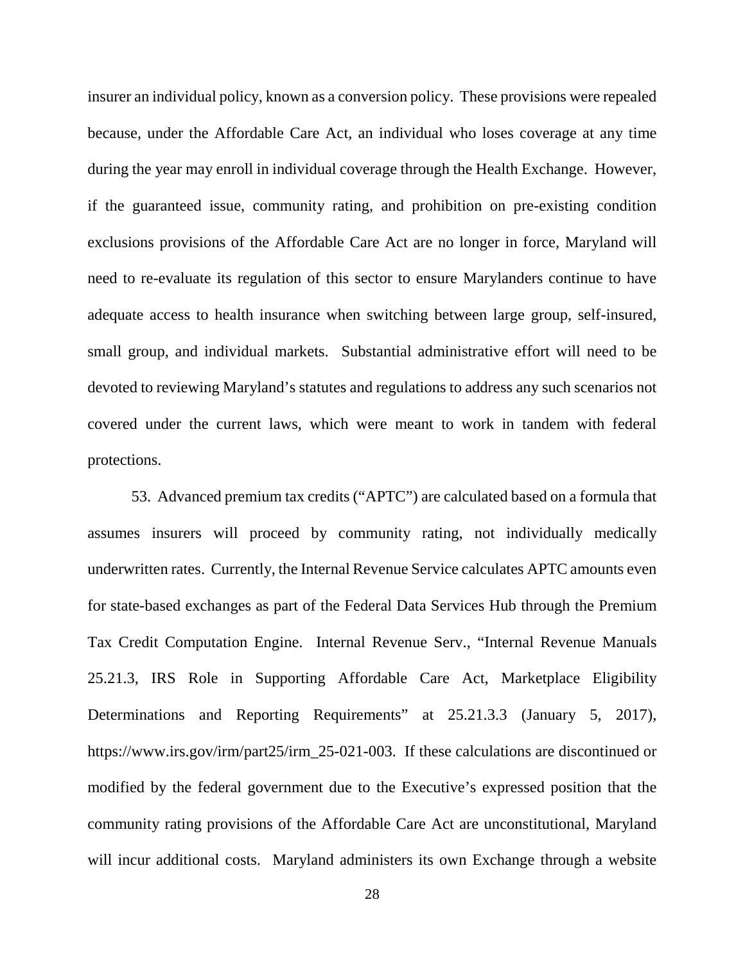insurer an individual policy, known as a conversion policy. These provisions were repealed because, under the Affordable Care Act, an individual who loses coverage at any time during the year may enroll in individual coverage through the Health Exchange. However, if the guaranteed issue, community rating, and prohibition on pre-existing condition exclusions provisions of the Affordable Care Act are no longer in force, Maryland will need to re-evaluate its regulation of this sector to ensure Marylanders continue to have adequate access to health insurance when switching between large group, self-insured, small group, and individual markets. Substantial administrative effort will need to be devoted to reviewing Maryland's statutes and regulations to address any such scenarios not covered under the current laws, which were meant to work in tandem with federal protections.

53. Advanced premium tax credits ("APTC") are calculated based on a formula that assumes insurers will proceed by community rating, not individually medically underwritten rates. Currently, the Internal Revenue Service calculates APTC amounts even for state-based exchanges as part of the Federal Data Services Hub through the Premium Tax Credit Computation Engine. Internal Revenue Serv., "Internal Revenue Manuals 25.21.3, IRS Role in Supporting Affordable Care Act, Marketplace Eligibility Determinations and Reporting Requirements" at 25.21.3.3 (January 5, 2017), https://www.irs.gov/irm/part25/irm\_25-021-003. If these calculations are discontinued or modified by the federal government due to the Executive's expressed position that the community rating provisions of the Affordable Care Act are unconstitutional, Maryland will incur additional costs. Maryland administers its own Exchange through a website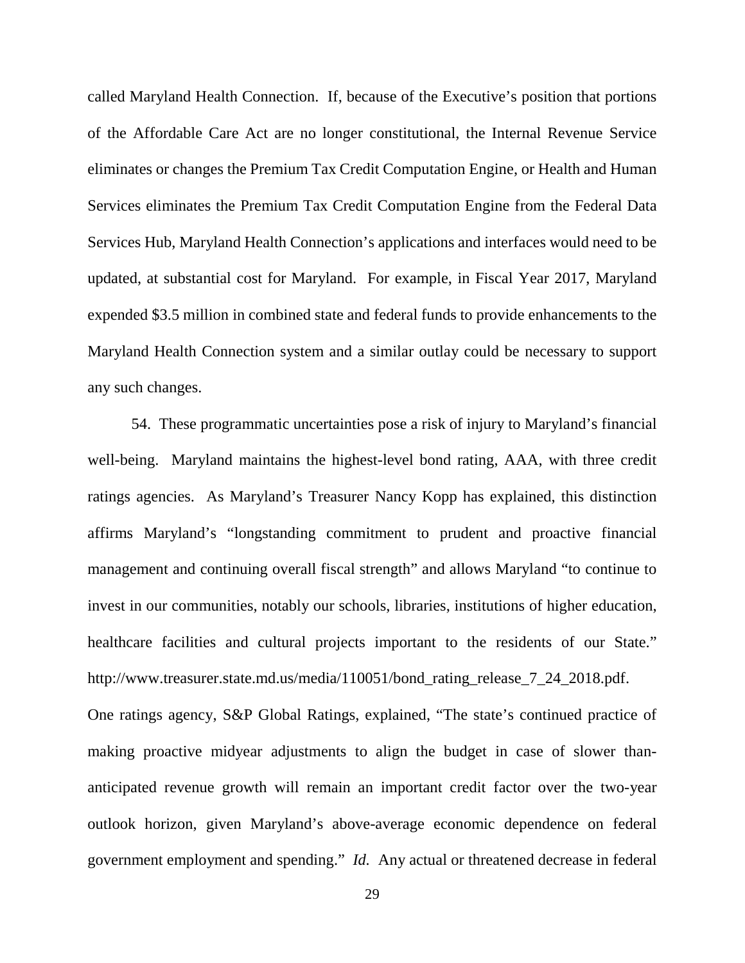called Maryland Health Connection. If, because of the Executive's position that portions of the Affordable Care Act are no longer constitutional, the Internal Revenue Service eliminates or changes the Premium Tax Credit Computation Engine, or Health and Human Services eliminates the Premium Tax Credit Computation Engine from the Federal Data Services Hub, Maryland Health Connection's applications and interfaces would need to be updated, at substantial cost for Maryland. For example, in Fiscal Year 2017, Maryland expended \$3.5 million in combined state and federal funds to provide enhancements to the Maryland Health Connection system and a similar outlay could be necessary to support any such changes.

54. These programmatic uncertainties pose a risk of injury to Maryland's financial well-being. Maryland maintains the highest-level bond rating, AAA, with three credit ratings agencies. As Maryland's Treasurer Nancy Kopp has explained, this distinction affirms Maryland's "longstanding commitment to prudent and proactive financial management and continuing overall fiscal strength" and allows Maryland "to continue to invest in our communities, notably our schools, libraries, institutions of higher education, healthcare facilities and cultural projects important to the residents of our State." http://www.treasurer.state.md.us/media/110051/bond\_rating\_release\_7\_24\_2018.pdf. One ratings agency, S&P Global Ratings, explained, "The state's continued practice of making proactive midyear adjustments to align the budget in case of slower thananticipated revenue growth will remain an important credit factor over the two-year outlook horizon, given Maryland's above-average economic dependence on federal government employment and spending." *Id.* Any actual or threatened decrease in federal

29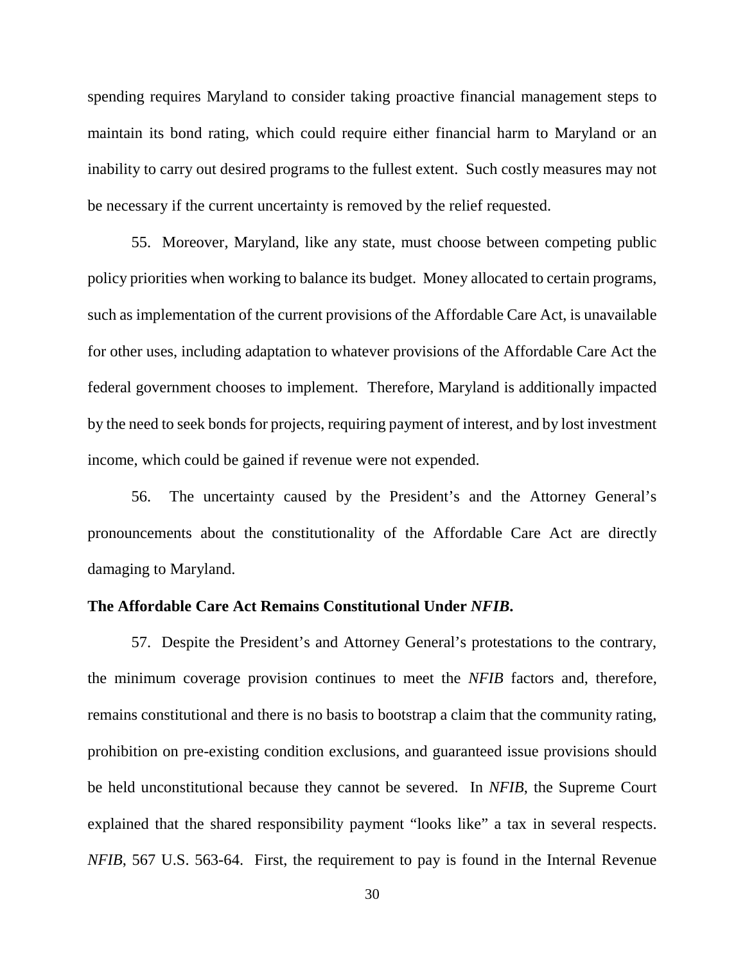spending requires Maryland to consider taking proactive financial management steps to maintain its bond rating, which could require either financial harm to Maryland or an inability to carry out desired programs to the fullest extent. Such costly measures may not be necessary if the current uncertainty is removed by the relief requested.

55. Moreover, Maryland, like any state, must choose between competing public policy priorities when working to balance its budget. Money allocated to certain programs, such as implementation of the current provisions of the Affordable Care Act, is unavailable for other uses, including adaptation to whatever provisions of the Affordable Care Act the federal government chooses to implement. Therefore, Maryland is additionally impacted by the need to seek bonds for projects, requiring payment of interest, and by lost investment income, which could be gained if revenue were not expended.

56. The uncertainty caused by the President's and the Attorney General's pronouncements about the constitutionality of the Affordable Care Act are directly damaging to Maryland.

### **The Affordable Care Act Remains Constitutional Under** *NFIB***.**

57. Despite the President's and Attorney General's protestations to the contrary, the minimum coverage provision continues to meet the *NFIB* factors and, therefore, remains constitutional and there is no basis to bootstrap a claim that the community rating, prohibition on pre-existing condition exclusions, and guaranteed issue provisions should be held unconstitutional because they cannot be severed. In *NFIB*, the Supreme Court explained that the shared responsibility payment "looks like" a tax in several respects. *NFIB*, 567 U.S. 563-64. First, the requirement to pay is found in the Internal Revenue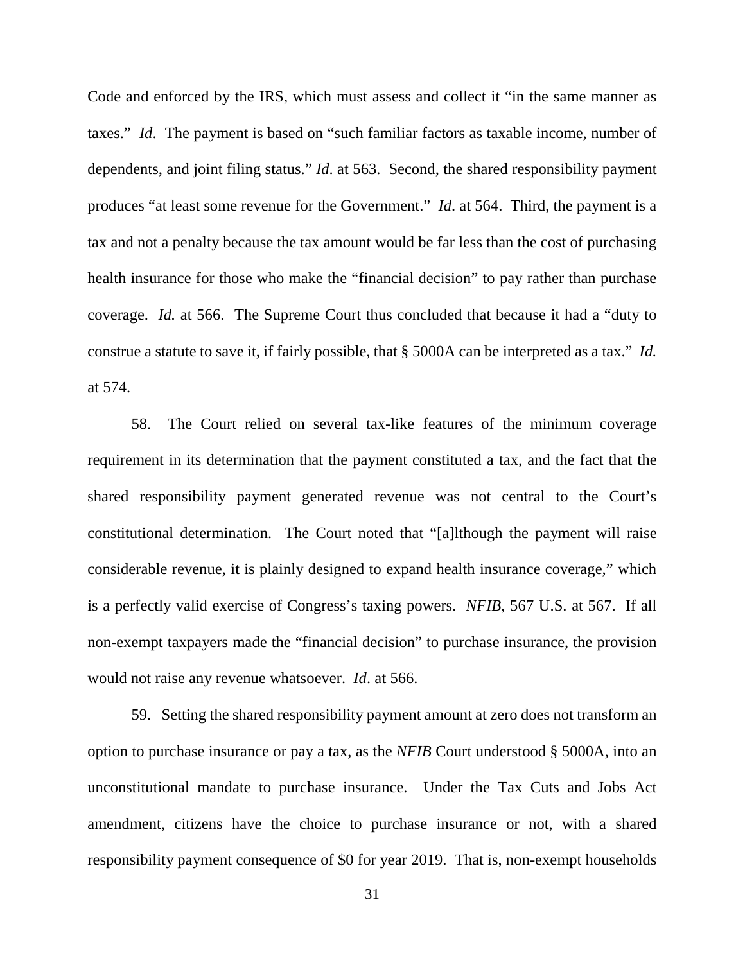Code and enforced by the IRS, which must assess and collect it "in the same manner as taxes." *Id*. The payment is based on "such familiar factors as taxable income, number of dependents, and joint filing status." *Id*. at 563. Second, the shared responsibility payment produces "at least some revenue for the Government." *Id*. at 564. Third, the payment is a tax and not a penalty because the tax amount would be far less than the cost of purchasing health insurance for those who make the "financial decision" to pay rather than purchase coverage. *Id.* at 566. The Supreme Court thus concluded that because it had a "duty to construe a statute to save it, if fairly possible, that § 5000A can be interpreted as a tax." *Id.*  at 574.

58. The Court relied on several tax-like features of the minimum coverage requirement in its determination that the payment constituted a tax, and the fact that the shared responsibility payment generated revenue was not central to the Court's constitutional determination. The Court noted that "[a]lthough the payment will raise considerable revenue, it is plainly designed to expand health insurance coverage," which is a perfectly valid exercise of Congress's taxing powers. *NFIB*, 567 U.S. at 567. If all non-exempt taxpayers made the "financial decision" to purchase insurance, the provision would not raise any revenue whatsoever. *Id*. at 566.

59. Setting the shared responsibility payment amount at zero does not transform an option to purchase insurance or pay a tax, as the *NFIB* Court understood § 5000A, into an unconstitutional mandate to purchase insurance. Under the Tax Cuts and Jobs Act amendment, citizens have the choice to purchase insurance or not, with a shared responsibility payment consequence of \$0 for year 2019. That is, non-exempt households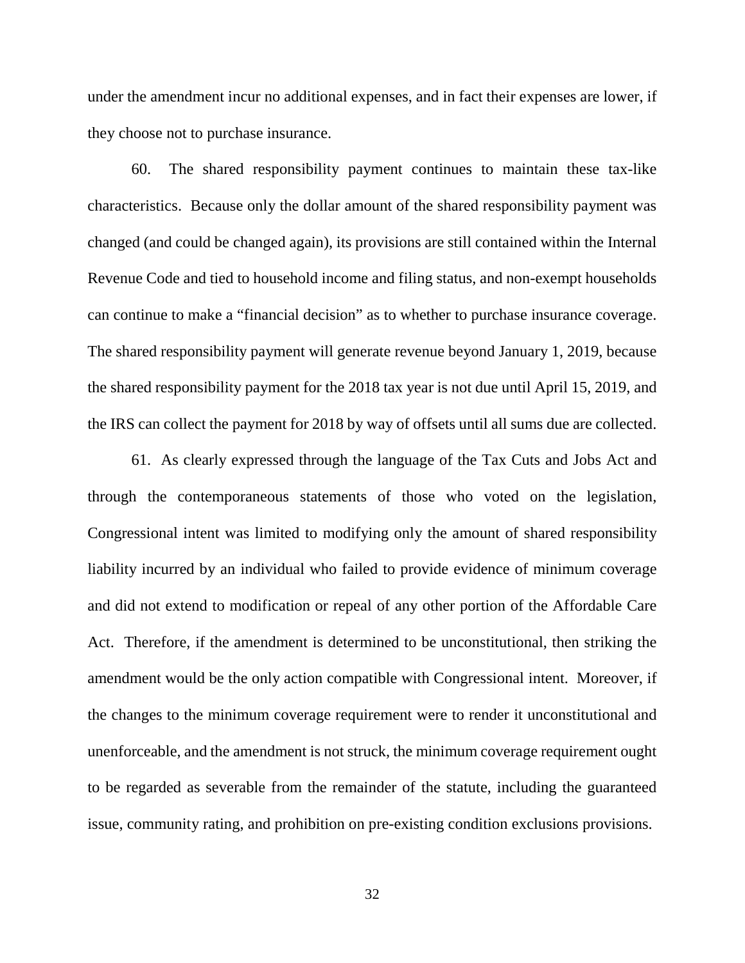under the amendment incur no additional expenses, and in fact their expenses are lower, if they choose not to purchase insurance.

60. The shared responsibility payment continues to maintain these tax-like characteristics. Because only the dollar amount of the shared responsibility payment was changed (and could be changed again), its provisions are still contained within the Internal Revenue Code and tied to household income and filing status, and non-exempt households can continue to make a "financial decision" as to whether to purchase insurance coverage. The shared responsibility payment will generate revenue beyond January 1, 2019, because the shared responsibility payment for the 2018 tax year is not due until April 15, 2019, and the IRS can collect the payment for 2018 by way of offsets until all sums due are collected.

61. As clearly expressed through the language of the Tax Cuts and Jobs Act and through the contemporaneous statements of those who voted on the legislation, Congressional intent was limited to modifying only the amount of shared responsibility liability incurred by an individual who failed to provide evidence of minimum coverage and did not extend to modification or repeal of any other portion of the Affordable Care Act. Therefore, if the amendment is determined to be unconstitutional, then striking the amendment would be the only action compatible with Congressional intent. Moreover, if the changes to the minimum coverage requirement were to render it unconstitutional and unenforceable, and the amendment is not struck, the minimum coverage requirement ought to be regarded as severable from the remainder of the statute, including the guaranteed issue, community rating, and prohibition on pre-existing condition exclusions provisions.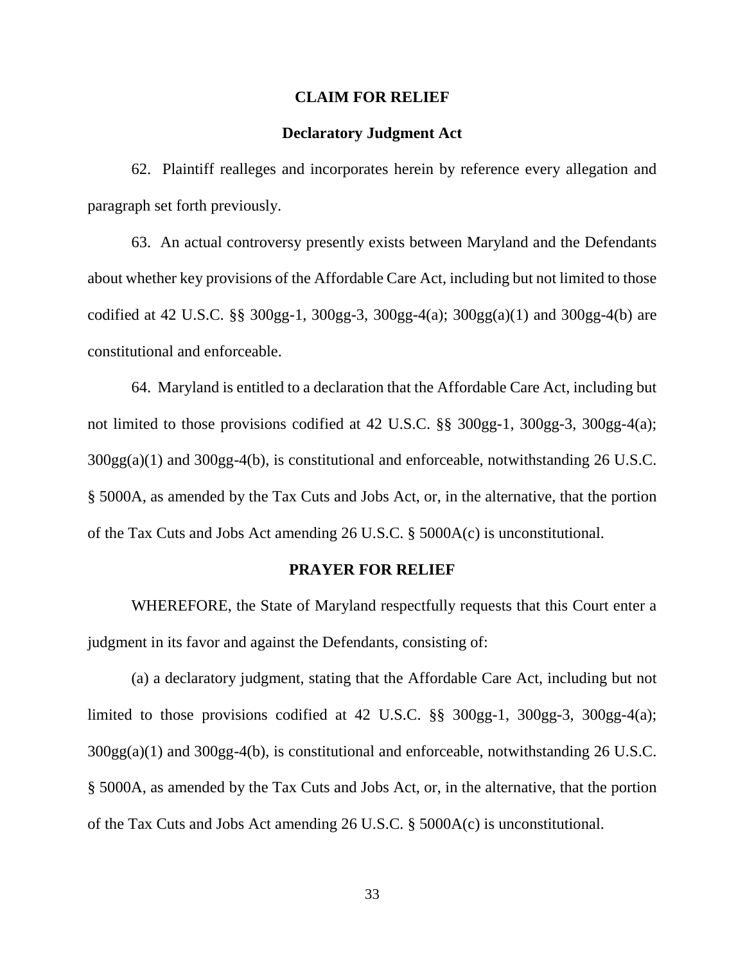#### **CLAIM FOR RELIEF**

### **Declaratory Judgment Act**

62. Plaintiff realleges and incorporates herein by reference every allegation and paragraph set forth previously.

63. An actual controversy presently exists between Maryland and the Defendants about whether key provisions of the Affordable Care Act, including but not limited to those codified at 42 U.S.C. §§ 300gg-1, 300gg-3, 300gg-4(a); 300gg(a)(1) and 300gg-4(b) are constitutional and enforceable.

64. Maryland is entitled to a declaration that the Affordable Care Act, including but not limited to those provisions codified at 42 U.S.C. §§ 300gg-1, 300gg-3, 300gg-4(a); 300gg(a)(1) and 300gg-4(b), is constitutional and enforceable, notwithstanding 26 U.S.C. § 5000A, as amended by the Tax Cuts and Jobs Act, or, in the alternative, that the portion of the Tax Cuts and Jobs Act amending 26 U.S.C. § 5000A(c) is unconstitutional.

#### **PRAYER FOR RELIEF**

WHEREFORE, the State of Maryland respectfully requests that this Court enter a judgment in its favor and against the Defendants, consisting of:

(a) a declaratory judgment, stating that the Affordable Care Act, including but not limited to those provisions codified at 42 U.S.C. §§ 300gg-1, 300gg-3, 300gg-4(a); 300gg(a)(1) and 300gg-4(b), is constitutional and enforceable, notwithstanding 26 U.S.C. § 5000A, as amended by the Tax Cuts and Jobs Act, or, in the alternative, that the portion of the Tax Cuts and Jobs Act amending 26 U.S.C. § 5000A(c) is unconstitutional.